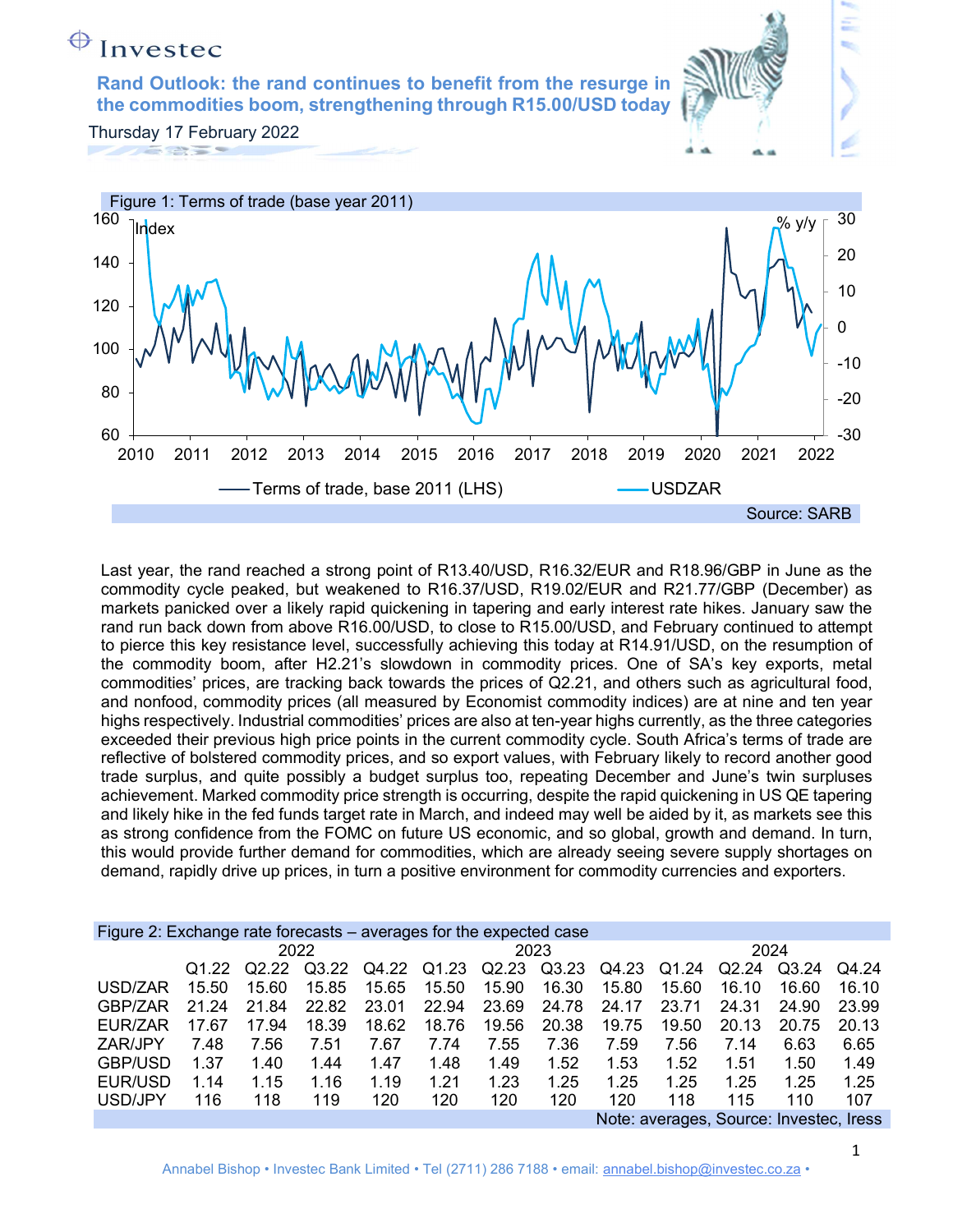## $\bigoplus$  Invested Rand Outlook: the rand continues to benefit from the resurge in the commodities boom, strengthening through R15.00/USD today Thursday 17 February 2022 Figure 1: Terms of trade (base year 2011)  $160$  Judget In dex  $\frac{1}{\sqrt{2}}$  in the set of  $\frac{1}{\sqrt{2}}$  in the set of  $\frac{1}{\sqrt{2}}$  in the set of  $\frac{1}{\sqrt{2}}$  in the set of  $\frac{1}{\sqrt{2}}$  in the set of  $\frac{1}{\sqrt{2}}$  in the set of  $\frac{1}{\sqrt{2}}$  in the set of  $\frac{1}{\sqrt{2}}$  in the set o



Last year, the rand reached a strong point of R13.40/USD, R16.32/EUR and R18.96/GBP in June as the commodity cycle peaked, but weakened to R16.37/USD, R19.02/EUR and R21.77/GBP (December) as markets panicked over a likely rapid quickening in tapering and early interest rate hikes. January saw the rand run back down from above R16.00/USD, to close to R15.00/USD, and February continued to attempt to pierce this key resistance level, successfully achieving this today at R14.91/USD, on the resumption of the commodity boom, after H2.21's slowdown in commodity prices. One of SA's key exports, metal commodities' prices, are tracking back towards the prices of Q2.21, and others such as agricultural food, and nonfood, commodity prices (all measured by Economist commodity indices) are at nine and ten year highs respectively. Industrial commodities' prices are also at ten-year highs currently, as the three categories exceeded their previous high price points in the current commodity cycle. South Africa's terms of trade are reflective of bolstered commodity prices, and so export values, with February likely to record another good trade surplus, and quite possibly a budget surplus too, repeating December and June's twin surpluses achievement. Marked commodity price strength is occurring, despite the rapid quickening in US QE tapering and likely hike in the fed funds target rate in March, and indeed may well be aided by it, as markets see this as strong confidence from the FOMC on future US economic, and so global, growth and demand. In turn, this would provide further demand for commodities, which are already seeing severe supply shortages on demand, rapidly drive up prices, in turn a positive environment for commodity currencies and exporters.

| Figure 2: Exchange rate forecasts – averages for the expected case |       |       |       |       |       |       |       |       |                                       |       |       |       |
|--------------------------------------------------------------------|-------|-------|-------|-------|-------|-------|-------|-------|---------------------------------------|-------|-------|-------|
|                                                                    |       |       | 2022  |       |       |       | 2023  |       |                                       | 2024  |       |       |
|                                                                    | Q1.22 | Q2.22 | Q3.22 | Q4.22 | Q1.23 | Q2.23 | Q3.23 | Q4.23 | Q1.24                                 | Q2.24 | Q3.24 | Q4.24 |
| USD/ZAR                                                            | 15.50 | 15.60 | 15.85 | 15.65 | 15.50 | 15.90 | 16.30 | 15.80 | 15.60                                 | 16.10 | 16.60 | 16.10 |
| GBP/ZAR                                                            | 21.24 | 21.84 | 22.82 | 23.01 | 22.94 | 23.69 | 24.78 | 24.17 | 23.71                                 | 24.31 | 24.90 | 23.99 |
| EUR/ZAR                                                            | 17.67 | 17.94 | 18.39 | 18.62 | 18.76 | 19.56 | 20.38 | 19.75 | 19.50                                 | 20.13 | 20.75 | 20.13 |
| ZAR/JPY                                                            | 7.48  | 7.56  | 7.51  | 7.67  | 7.74  | 7.55  | 7.36  | 7.59  | 7.56                                  | 7.14  | 6.63  | 6.65  |
| <b>GBP/USD</b>                                                     | 1.37  | 1.40  | 1.44  | 1.47  | 1.48  | 1.49  | 1.52  | 1.53  | 1.52                                  | 1.51  | 1.50  | 1.49  |
| EUR/USD                                                            | 1.14  | 1.15  | 1.16  | 1.19  | 1.21  | 1.23  | 1.25  | 1.25  | 1.25                                  | 1.25  | 1.25  | 1.25  |
| USD/JPY                                                            | 116   | 118   | 119   | 120   | 120   | 120   | 120   | 120   | 118                                   | 115   | 110   | 107   |
|                                                                    |       |       |       |       |       |       |       |       | Note: averages Source: Invested Iress |       |       |       |

Note: averages, Source: Investec, Iress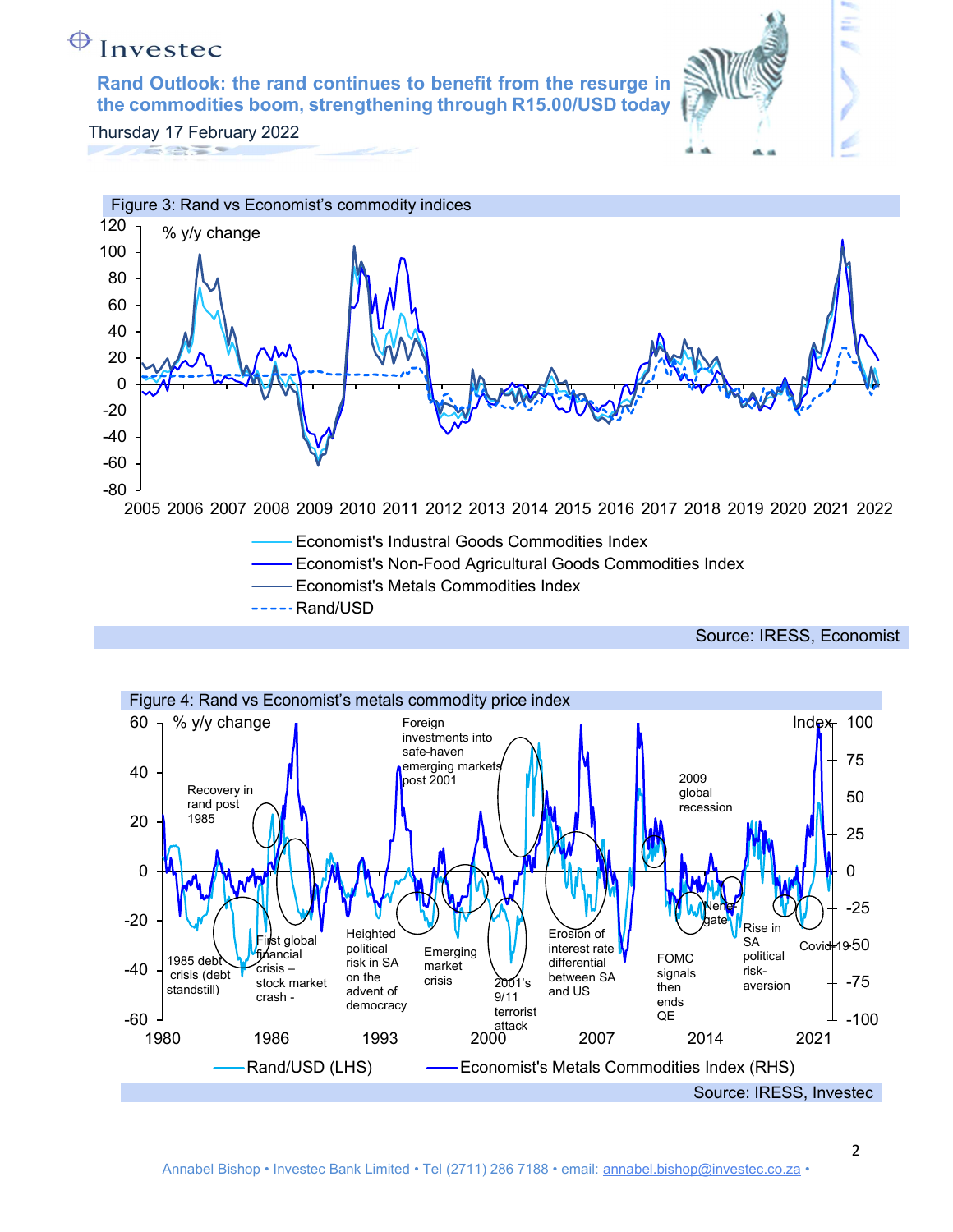Rand Outlook: the rand continues to benefit from the resurge in the commodities boom, strengthening through R15.00/USD today





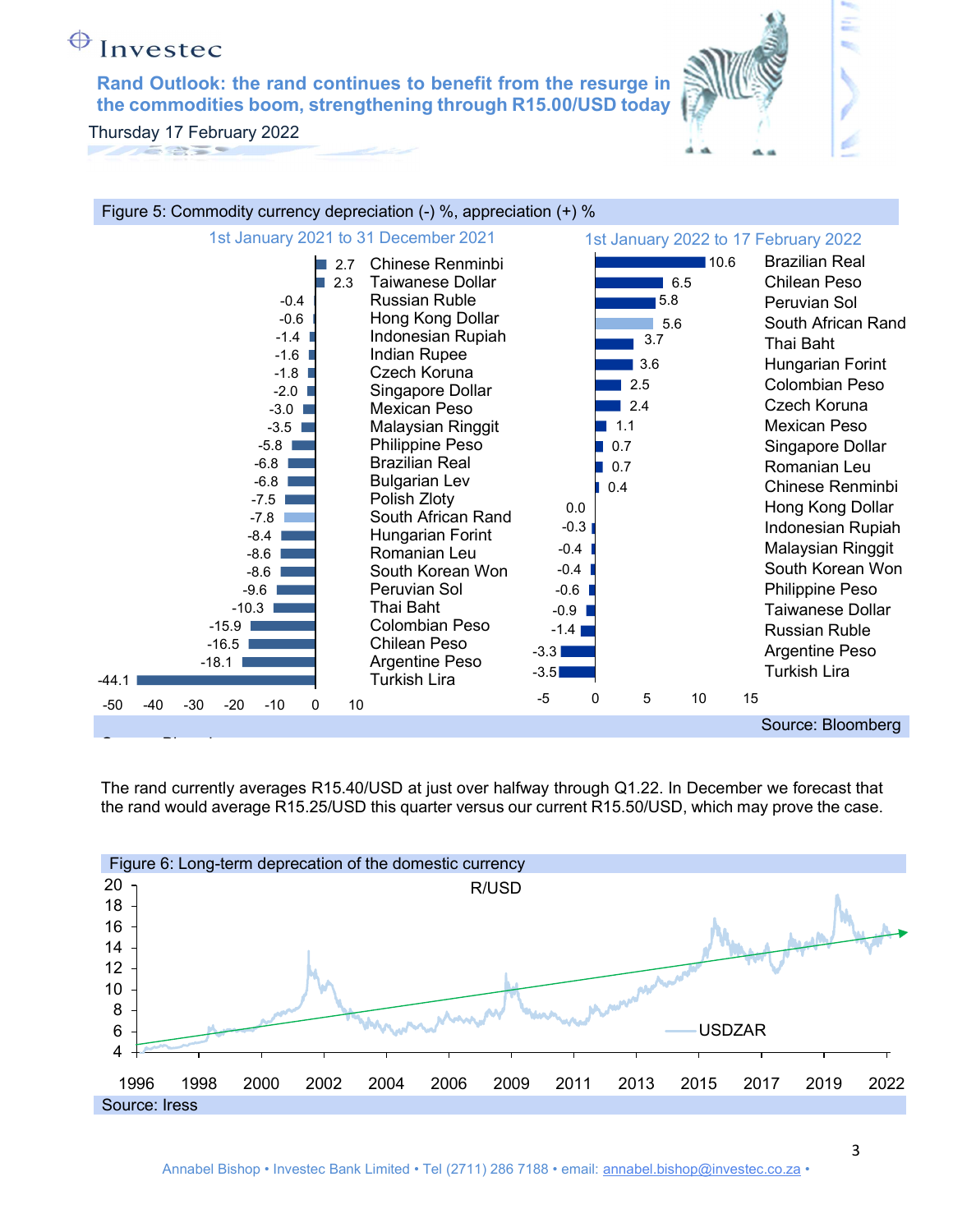Rand Outlook: the rand continues to benefit from the resurge in the commodities boom, strengthening through R15.00/USD today

Thursday 17 February 2022 



The rand currently averages R15.40/USD at just over halfway through Q1.22. In December we forecast that the rand would average R15.25/USD this quarter versus our current R15.50/USD, which may prove the case.

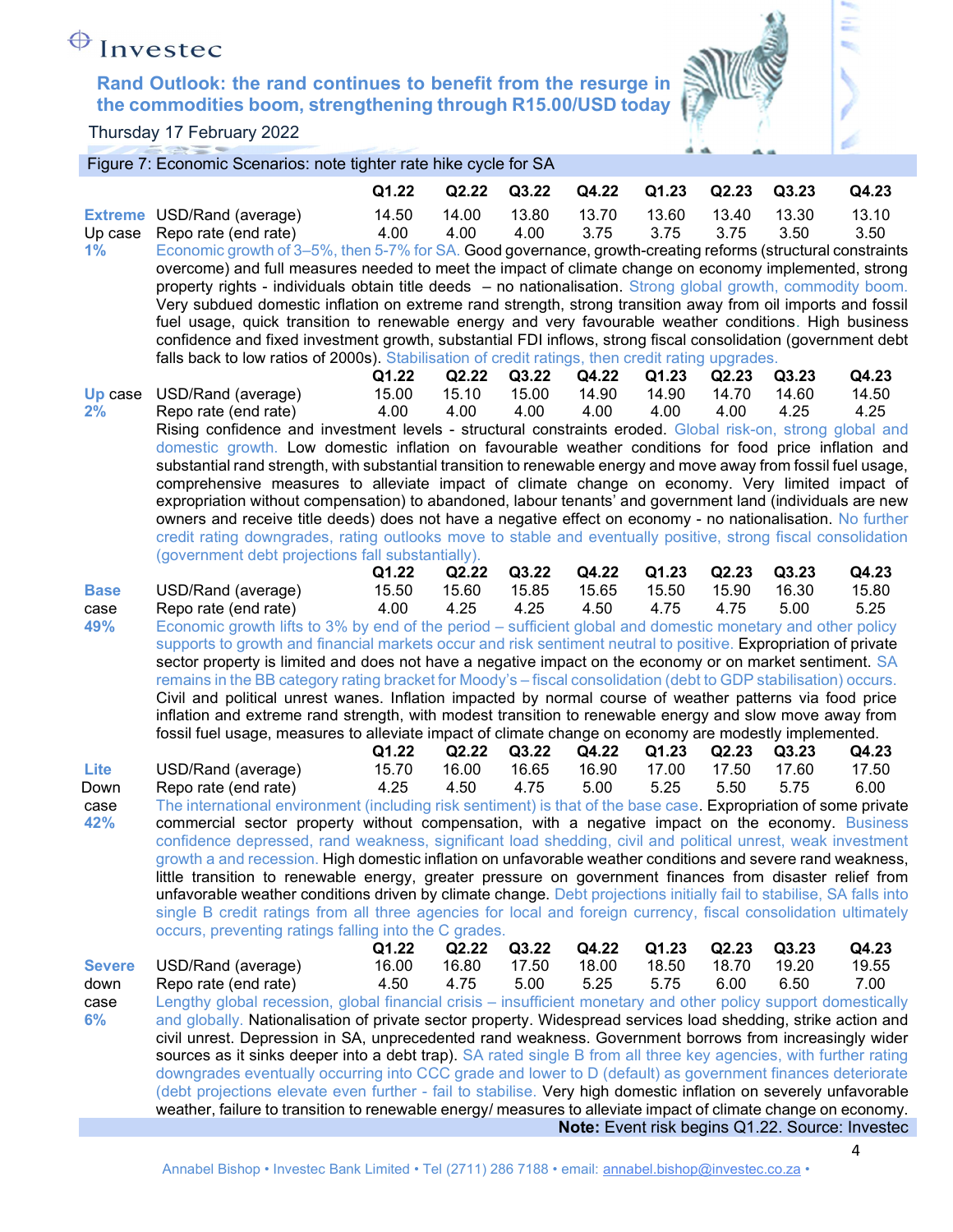

έ

| Figure 7: Economic Scenarios: note tighter rate hike cycle for SA |  |
|-------------------------------------------------------------------|--|

|                     |                                                                                                                                                                                                                                         | Q1.22         | Q2.22         | Q3.22         | Q4.22         | Q1.23         | Q2.23         | Q3.23         | Q4.23                                           |
|---------------------|-----------------------------------------------------------------------------------------------------------------------------------------------------------------------------------------------------------------------------------------|---------------|---------------|---------------|---------------|---------------|---------------|---------------|-------------------------------------------------|
|                     | <b>Extreme USD/Rand (average)</b>                                                                                                                                                                                                       | 14.50         | 14.00         | 13.80         | 13.70         | 13.60         | 13.40         | 13.30         | 13.10                                           |
| Up case             | Repo rate (end rate)                                                                                                                                                                                                                    | 4.00          | 4.00          | 4.00          | 3.75          | 3.75          | 3.75          | 3.50          | 3.50                                            |
| 1%                  | Economic growth of 3–5%, then 5-7% for SA. Good governance, growth-creating reforms (structural constraints                                                                                                                             |               |               |               |               |               |               |               |                                                 |
|                     | overcome) and full measures needed to meet the impact of climate change on economy implemented, strong                                                                                                                                  |               |               |               |               |               |               |               |                                                 |
|                     | property rights - individuals obtain title deeds - no nationalisation. Strong global growth, commodity boom.<br>Very subdued domestic inflation on extreme rand strength, strong transition away from oil imports and fossil            |               |               |               |               |               |               |               |                                                 |
|                     | fuel usage, quick transition to renewable energy and very favourable weather conditions. High business                                                                                                                                  |               |               |               |               |               |               |               |                                                 |
|                     | confidence and fixed investment growth, substantial FDI inflows, strong fiscal consolidation (government debt                                                                                                                           |               |               |               |               |               |               |               |                                                 |
|                     | falls back to low ratios of 2000s). Stabilisation of credit ratings, then credit rating upgrades.                                                                                                                                       |               |               |               |               |               |               |               |                                                 |
|                     |                                                                                                                                                                                                                                         | Q1.22         | Q2.22         | Q3.22         | Q4.22         | Q1.23         | Q2.23         | Q3.23         | Q4.23                                           |
|                     | <b>Up</b> case USD/Rand (average)                                                                                                                                                                                                       | 15.00         | 15.10         | 15.00         | 14.90         | 14.90         | 14.70         | 14.60         | 14.50                                           |
| 2%                  | Repo rate (end rate)                                                                                                                                                                                                                    | 4.00          | 4.00          | 4.00          | 4.00          | 4.00          | 4.00          | 4.25          | 4.25                                            |
|                     | Rising confidence and investment levels - structural constraints eroded. Global risk-on, strong global and                                                                                                                              |               |               |               |               |               |               |               |                                                 |
|                     | domestic growth. Low domestic inflation on favourable weather conditions for food price inflation and                                                                                                                                   |               |               |               |               |               |               |               |                                                 |
|                     | substantial rand strength, with substantial transition to renewable energy and move away from fossil fuel usage,<br>comprehensive measures to alleviate impact of climate change on economy. Very limited impact of                     |               |               |               |               |               |               |               |                                                 |
|                     | expropriation without compensation) to abandoned, labour tenants' and government land (individuals are new                                                                                                                              |               |               |               |               |               |               |               |                                                 |
|                     | owners and receive title deeds) does not have a negative effect on economy - no nationalisation. No further                                                                                                                             |               |               |               |               |               |               |               |                                                 |
|                     | credit rating downgrades, rating outlooks move to stable and eventually positive, strong fiscal consolidation                                                                                                                           |               |               |               |               |               |               |               |                                                 |
|                     | (government debt projections fall substantially).                                                                                                                                                                                       |               |               |               |               |               |               |               |                                                 |
|                     |                                                                                                                                                                                                                                         | Q1.22         | Q2.22         | Q3.22         | Q4.22         | Q1.23         | Q2.23         | Q3.23         | Q4.23                                           |
| <b>Base</b><br>case | USD/Rand (average)<br>Repo rate (end rate)                                                                                                                                                                                              | 15.50<br>4.00 | 15.60<br>4.25 | 15.85<br>4.25 | 15.65<br>4.50 | 15.50<br>4.75 | 15.90<br>4.75 | 16.30<br>5.00 | 15.80<br>5.25                                   |
| 49%                 | Economic growth lifts to 3% by end of the period - sufficient global and domestic monetary and other policy                                                                                                                             |               |               |               |               |               |               |               |                                                 |
|                     | supports to growth and financial markets occur and risk sentiment neutral to positive. Expropriation of private                                                                                                                         |               |               |               |               |               |               |               |                                                 |
|                     | sector property is limited and does not have a negative impact on the economy or on market sentiment. SA                                                                                                                                |               |               |               |               |               |               |               |                                                 |
|                     | remains in the BB category rating bracket for Moody's – fiscal consolidation (debt to GDP stabilisation) occurs.                                                                                                                        |               |               |               |               |               |               |               |                                                 |
|                     | Civil and political unrest wanes. Inflation impacted by normal course of weather patterns via food price                                                                                                                                |               |               |               |               |               |               |               |                                                 |
|                     | inflation and extreme rand strength, with modest transition to renewable energy and slow move away from                                                                                                                                 |               |               |               |               |               |               |               |                                                 |
|                     | fossil fuel usage, measures to alleviate impact of climate change on economy are modestly implemented.                                                                                                                                  | Q1.22         | Q2.22         | Q3.22         | Q4.22         | Q1.23         | Q2.23         | Q3.23         | Q4.23                                           |
| Lite                | USD/Rand (average)                                                                                                                                                                                                                      | 15.70         | 16.00         | 16.65         | 16.90         | 17.00         | 17.50         | 17.60         | 17.50                                           |
| Down                | Repo rate (end rate)                                                                                                                                                                                                                    | 4.25          | 4.50          | 4.75          | 5.00          | 5.25          | 5.50          | 5.75          | 6.00                                            |
| case                | The international environment (including risk sentiment) is that of the base case. Expropriation of some private                                                                                                                        |               |               |               |               |               |               |               |                                                 |
| 42%                 | commercial sector property without compensation, with a negative impact on the economy. Business                                                                                                                                        |               |               |               |               |               |               |               |                                                 |
|                     | confidence depressed, rand weakness, significant load shedding, civil and political unrest, weak investment                                                                                                                             |               |               |               |               |               |               |               |                                                 |
|                     | growth a and recession. High domestic inflation on unfavorable weather conditions and severe rand weakness,                                                                                                                             |               |               |               |               |               |               |               |                                                 |
|                     | little transition to renewable energy, greater pressure on government finances from disaster relief from                                                                                                                                |               |               |               |               |               |               |               |                                                 |
|                     | unfavorable weather conditions driven by climate change. Debt projections initially fail to stabilise, SA falls into<br>single B credit ratings from all three agencies for local and foreign currency, fiscal consolidation ultimately |               |               |               |               |               |               |               |                                                 |
|                     | occurs, preventing ratings falling into the C grades.                                                                                                                                                                                   |               |               |               |               |               |               |               |                                                 |
|                     |                                                                                                                                                                                                                                         | Q1.22         | Q2.22         | Q3.22         | Q4.22         | Q1.23         | Q2.23         | Q3.23         | Q4.23                                           |
| <b>Severe</b>       | USD/Rand (average)                                                                                                                                                                                                                      | 16.00         | 16.80         | 17.50         | 18.00         | 18.50         | 18.70         | 19.20         | 19.55                                           |
| down                | Repo rate (end rate)                                                                                                                                                                                                                    | 4.50          | 4.75          | 5.00          | 5.25          | 5.75          | 6.00          | 6.50          | 7.00                                            |
| case                | Lengthy global recession, global financial crisis – insufficient monetary and other policy support domestically                                                                                                                         |               |               |               |               |               |               |               |                                                 |
| 6%                  | and globally. Nationalisation of private sector property. Widespread services load shedding, strike action and                                                                                                                          |               |               |               |               |               |               |               |                                                 |
|                     | civil unrest. Depression in SA, unprecedented rand weakness. Government borrows from increasingly wider                                                                                                                                 |               |               |               |               |               |               |               |                                                 |
|                     | sources as it sinks deeper into a debt trap). SA rated single B from all three key agencies, with further rating<br>downgrades eventually occurring into CCC grade and lower to D (default) as government finances deteriorate          |               |               |               |               |               |               |               |                                                 |
|                     | (debt projections elevate even further - fail to stabilise. Very high domestic inflation on severely unfavorable                                                                                                                        |               |               |               |               |               |               |               |                                                 |
|                     | weather, failure to transition to renewable energy/ measures to alleviate impact of climate change on economy.                                                                                                                          |               |               |               |               |               |               |               |                                                 |
|                     |                                                                                                                                                                                                                                         |               |               |               |               |               |               |               | Note: Event risk begins Q1.22. Source: Investec |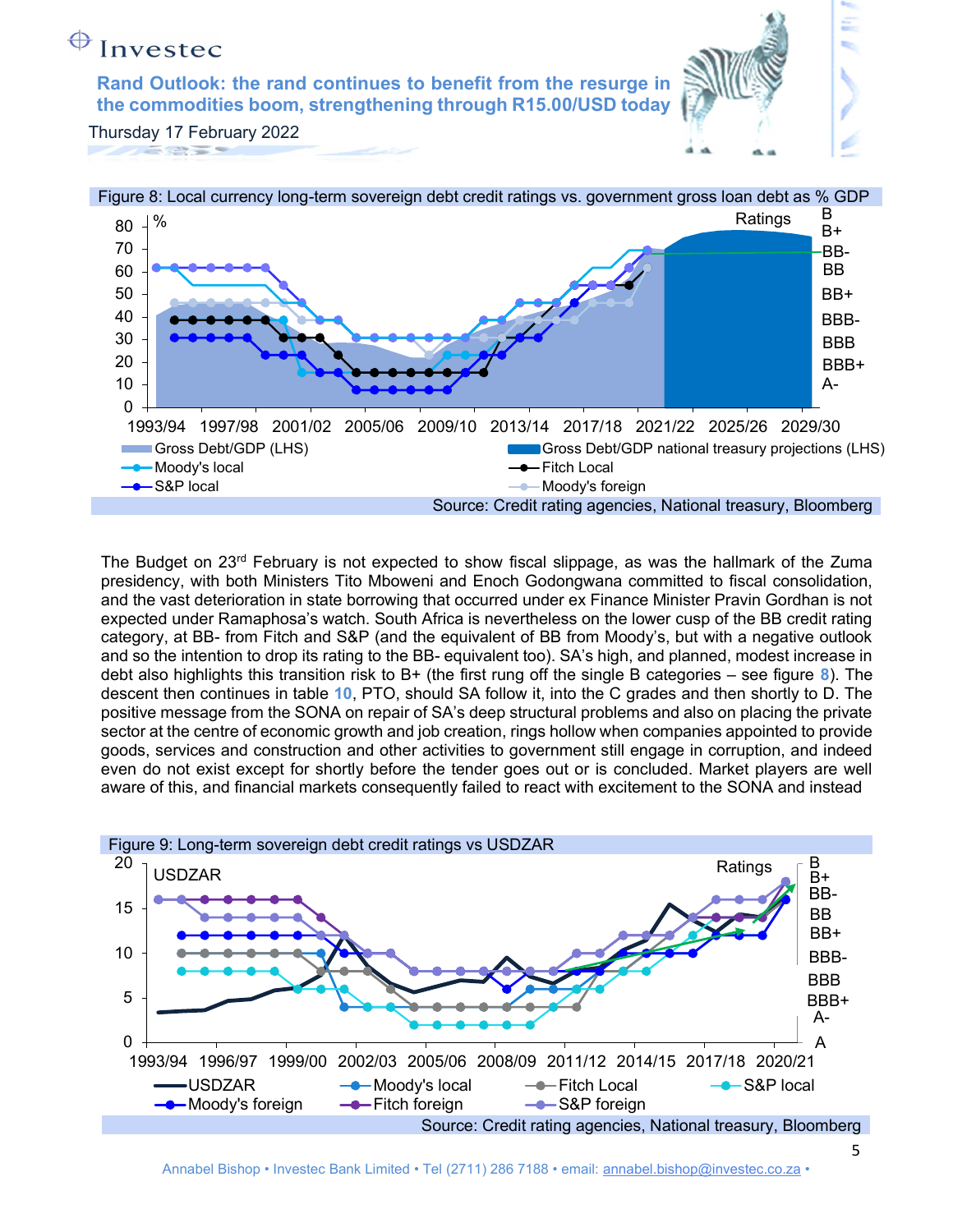Rand Outlook: the rand continues to benefit from the resurge in the commodities boom, strengthening through R15.00/USD today



Thursday 17 February 2022



The Budget on  $23<sup>rd</sup>$  February is not expected to show fiscal slippage, as was the hallmark of the Zuma presidency, with both Ministers Tito Mboweni and Enoch Godongwana committed to fiscal consolidation, and the vast deterioration in state borrowing that occurred under ex Finance Minister Pravin Gordhan is not expected under Ramaphosa's watch. South Africa is nevertheless on the lower cusp of the BB credit rating category, at BB- from Fitch and S&P (and the equivalent of BB from Moody's, but with a negative outlook and so the intention to drop its rating to the BB- equivalent too). SA's high, and planned, modest increase in debt also highlights this transition risk to B+ (the first rung off the single B categories – see figure  $\delta$ ). The descent then continues in table 10, PTO, should SA follow it, into the C grades and then shortly to D. The positive message from the SONA on repair of SA's deep structural problems and also on placing the private sector at the centre of economic growth and job creation, rings hollow when companies appointed to provide goods, services and construction and other activities to government still engage in corruption, and indeed even do not exist except for shortly before the tender goes out or is concluded. Market players are well aware of this, and financial markets consequently failed to react with excitement to the SONA and instead

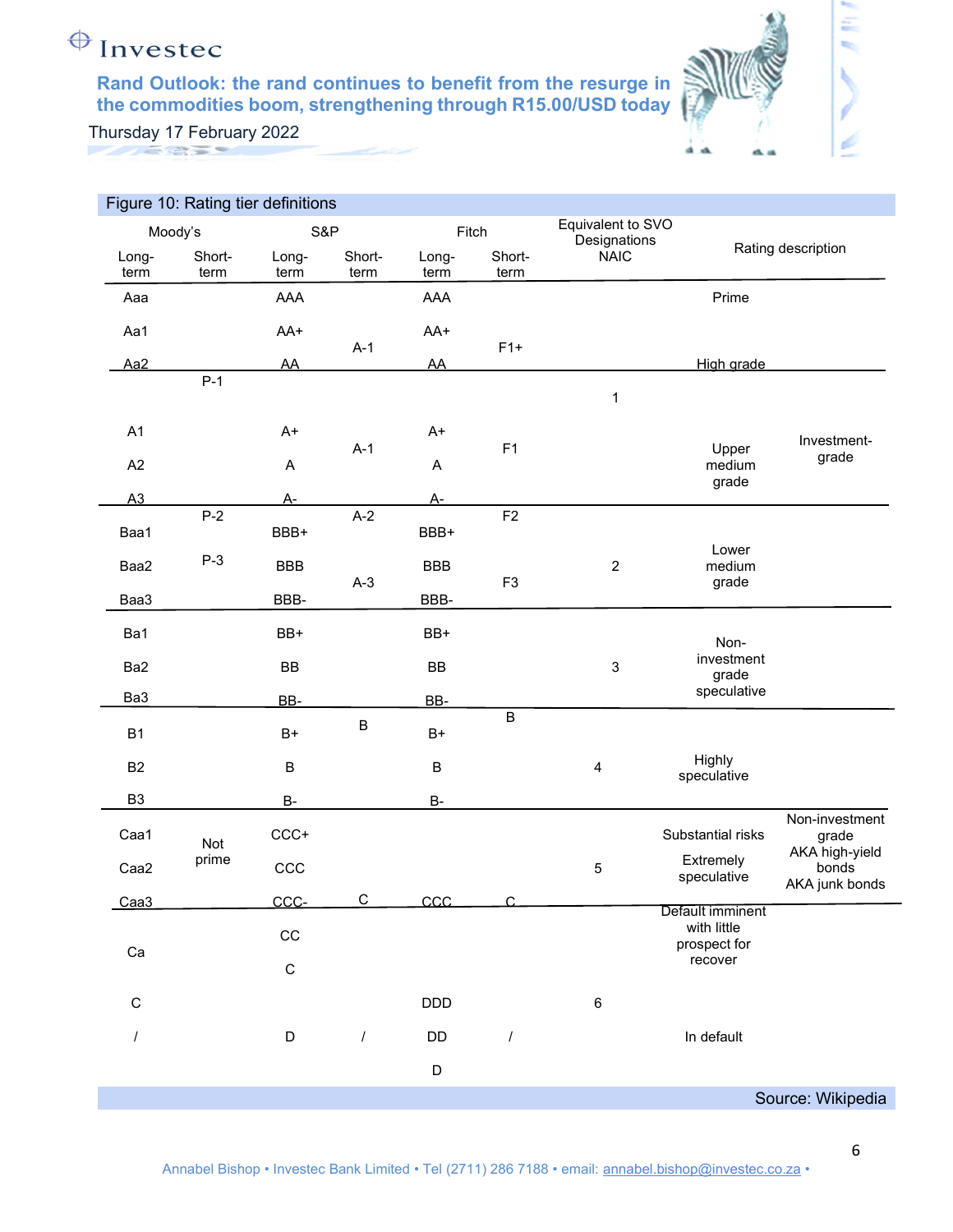

έ

|                 | Figure 10: Rating tier definitions |             |         |             |                |                                   |                                                 |                         |
|-----------------|------------------------------------|-------------|---------|-------------|----------------|-----------------------------------|-------------------------------------------------|-------------------------|
| Moody's         |                                    | S&P         |         |             | Fitch          | Equivalent to SVO<br>Designations |                                                 |                         |
| Long-           | Short-                             | Long-       | Short-  | Long-       | Short-         | <b>NAIC</b>                       |                                                 | Rating description      |
| term<br>Aaa     | term                               | term<br>AAA | term    | term<br>AAA | term           |                                   | Prime                                           |                         |
|                 |                                    |             |         |             |                |                                   |                                                 |                         |
| Aa1             |                                    | AA+         | $A-1$   | AA+         | $F1+$          |                                   |                                                 |                         |
| Aa <sub>2</sub> | $P-1$                              | AA          |         | AA          |                |                                   | High grade                                      |                         |
|                 |                                    |             |         |             |                | 1                                 |                                                 |                         |
| A1              |                                    | $A+$        |         | A+          |                |                                   |                                                 | Investment-             |
| A2              |                                    | A           | $A-1$   | A           | F1             |                                   | Upper<br>medium<br>grade                        | grade                   |
| A3              |                                    | $A-$        |         | <u>A-</u>   |                |                                   |                                                 |                         |
| Baa1            | $P-2$                              | BBB+        | $A-2$   | BBB+        | F <sub>2</sub> |                                   |                                                 |                         |
| Baa2            | $P-3$                              | <b>BBB</b>  |         | <b>BBB</b>  |                | $\sqrt{2}$                        | Lower<br>medium                                 |                         |
| Baa3            |                                    | BBB-        | $A-3$   | BBB-        | F <sub>3</sub> |                                   | grade                                           |                         |
| Ba1             |                                    | BB+         |         | BB+         |                |                                   | Non-                                            |                         |
| Ba2             |                                    | <b>BB</b>   |         | <b>BB</b>   |                | $\sqrt{3}$                        | investment<br>grade                             |                         |
| Ba3             |                                    | BB-         |         | BB-         |                |                                   | speculative                                     |                         |
| <b>B1</b>       |                                    | $B+$        | $\sf B$ | $B+$        | $\overline{B}$ |                                   |                                                 |                         |
| <b>B2</b>       |                                    | B           |         | B           |                | $\overline{4}$                    | Highly<br>speculative                           |                         |
| B <sub>3</sub>  |                                    | <b>B-</b>   |         | <b>B-</b>   |                |                                   |                                                 |                         |
| Caa1            | Not                                | $CCC +$     |         |             |                |                                   | Substantial risks                               | Non-investment<br>grade |
| Caa2            | prime                              | CCC         |         |             |                | $\mathbf 5$                       | Extremely<br>speculative                        | AKA high-yield<br>bonds |
| Caa3            |                                    | CCC-        | C       | CCC         | $\cap$         |                                   |                                                 | AKA junk bonds          |
|                 |                                    | $_{\rm CC}$ |         |             |                |                                   | Default imminent<br>with little<br>prospect for |                         |
| Ca              |                                    | $\mathsf C$ |         |             |                |                                   | recover                                         |                         |
| $\mathsf C$     |                                    |             |         | <b>DDD</b>  |                | $\,6\,$                           |                                                 |                         |
|                 |                                    | D           |         | DD          | $\prime$       |                                   | In default                                      |                         |
|                 |                                    |             |         | D           |                |                                   |                                                 |                         |
|                 |                                    |             |         |             |                |                                   |                                                 | Source: Wikipedia       |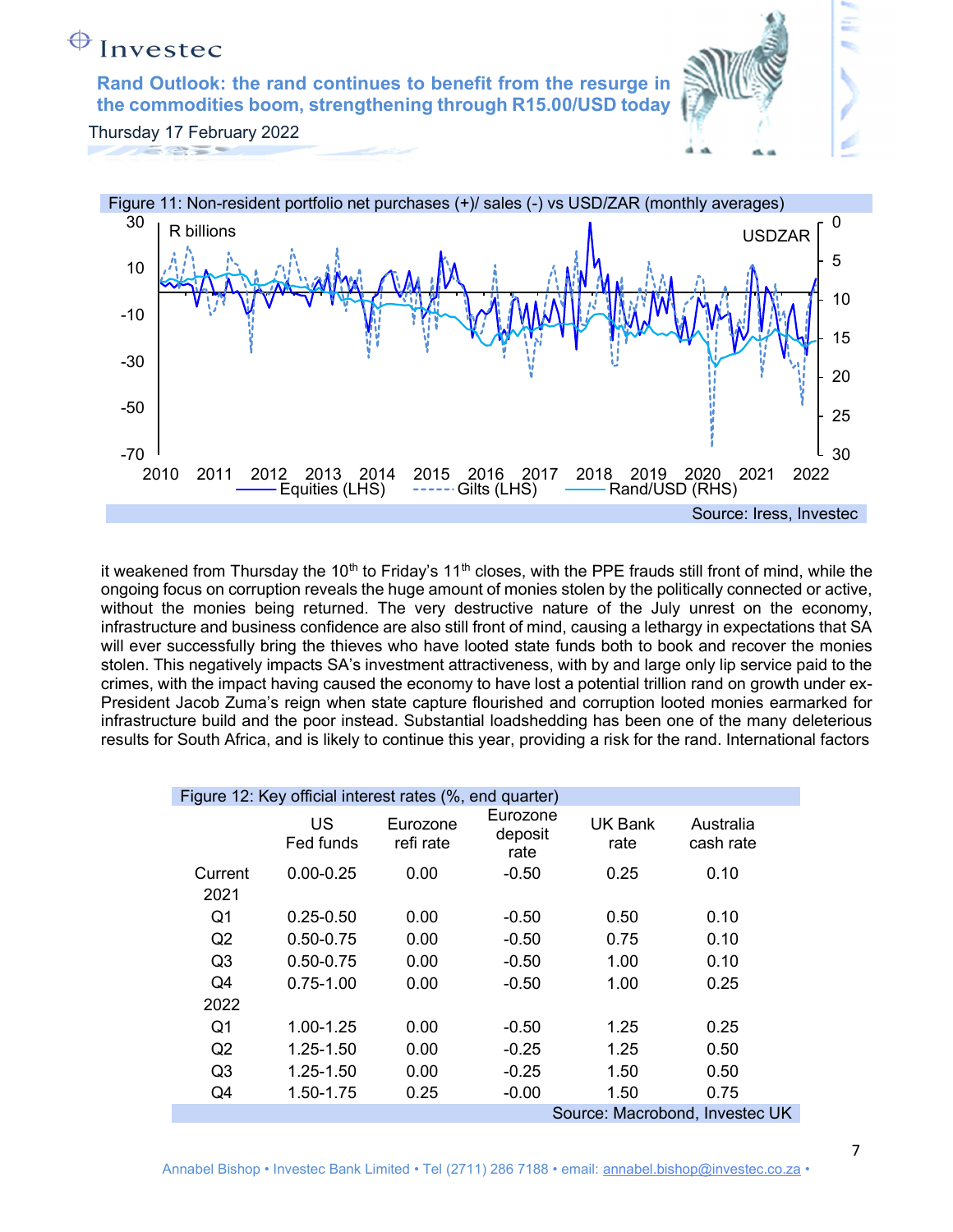

it weakened from Thursday the 10<sup>th</sup> to Friday's 11<sup>th</sup> closes, with the PPE frauds still front of mind, while the ongoing focus on corruption reveals the huge amount of monies stolen by the politically connected or active, without the monies being returned. The very destructive nature of the July unrest on the economy, infrastructure and business confidence are also still front of mind, causing a lethargy in expectations that SA will ever successfully bring the thieves who have looted state funds both to book and recover the monies stolen. This negatively impacts SA's investment attractiveness, with by and large only lip service paid to the crimes, with the impact having caused the economy to have lost a potential trillion rand on growth under ex-President Jacob Zuma's reign when state capture flourished and corruption looted monies earmarked for infrastructure build and the poor instead. Substantial loadshedding has been one of the many deleterious results for South Africa, and is likely to continue this year, providing a risk for the rand. International factors

Equities (LHS) Gilts (LHS) Rand/USD (RHS)

|                 | Figure 12: Key official interest rates (%, end quarter) |                       |                             |                 |                        |  |  |  |  |  |  |  |  |
|-----------------|---------------------------------------------------------|-----------------------|-----------------------------|-----------------|------------------------|--|--|--|--|--|--|--|--|
|                 | US<br>Fed funds                                         | Eurozone<br>refi rate | Eurozone<br>deposit<br>rate | UK Bank<br>rate | Australia<br>cash rate |  |  |  |  |  |  |  |  |
| Current<br>2021 | $0.00 - 0.25$                                           | 0.00                  | $-0.50$                     | 0.25            | 0.10                   |  |  |  |  |  |  |  |  |
| Q1              | $0.25 - 0.50$                                           | 0.00                  | $-0.50$                     | 0.50            | 0.10                   |  |  |  |  |  |  |  |  |
| Q2              | 0.50-0.75                                               | 0.00                  | $-0.50$                     | 0.75            | 0.10                   |  |  |  |  |  |  |  |  |
| Q <sub>3</sub>  | $0.50 - 0.75$                                           | 0.00                  | $-0.50$                     | 1.00            | 0.10                   |  |  |  |  |  |  |  |  |
| Q4              | $0.75 - 1.00$                                           | 0.00                  | $-0.50$                     | 1.00            | 0.25                   |  |  |  |  |  |  |  |  |
| 2022            |                                                         |                       |                             |                 |                        |  |  |  |  |  |  |  |  |
| Q1              | 1.00-1.25                                               | 0.00                  | $-0.50$                     | 1.25            | 0.25                   |  |  |  |  |  |  |  |  |
| Q2              | 1.25-1.50                                               | 0.00                  | $-0.25$                     | 1.25            | 0.50                   |  |  |  |  |  |  |  |  |
| Q3              | 1.25-1.50                                               | 0.00                  | $-0.25$                     | 1.50            | 0.50                   |  |  |  |  |  |  |  |  |
| Q4              | 1.50-1.75                                               | 0.25                  | $-0.00$                     | 1.50            | 0.75                   |  |  |  |  |  |  |  |  |

Source: Macrobond, Investec UK

Source: Iress, Investec

 $-70$   $\phantom{0}^{\circ}$   $\phantom{0}$   $\phantom{0}$   $\phantom{0}$   $\phantom{0}$   $\phantom{0}$   $\phantom{0}$   $\phantom{0}$   $\phantom{0}$   $\phantom{0}$   $\phantom{0}$   $\phantom{0}$   $\phantom{0}$   $\phantom{0}$   $\phantom{0}$   $\phantom{0}$   $\phantom{0}$   $\phantom{0}$   $\phantom{0}$   $\phantom{0}$   $\phantom{0}$   $\phantom{0}$   $\phantom{0}$   $\phantom$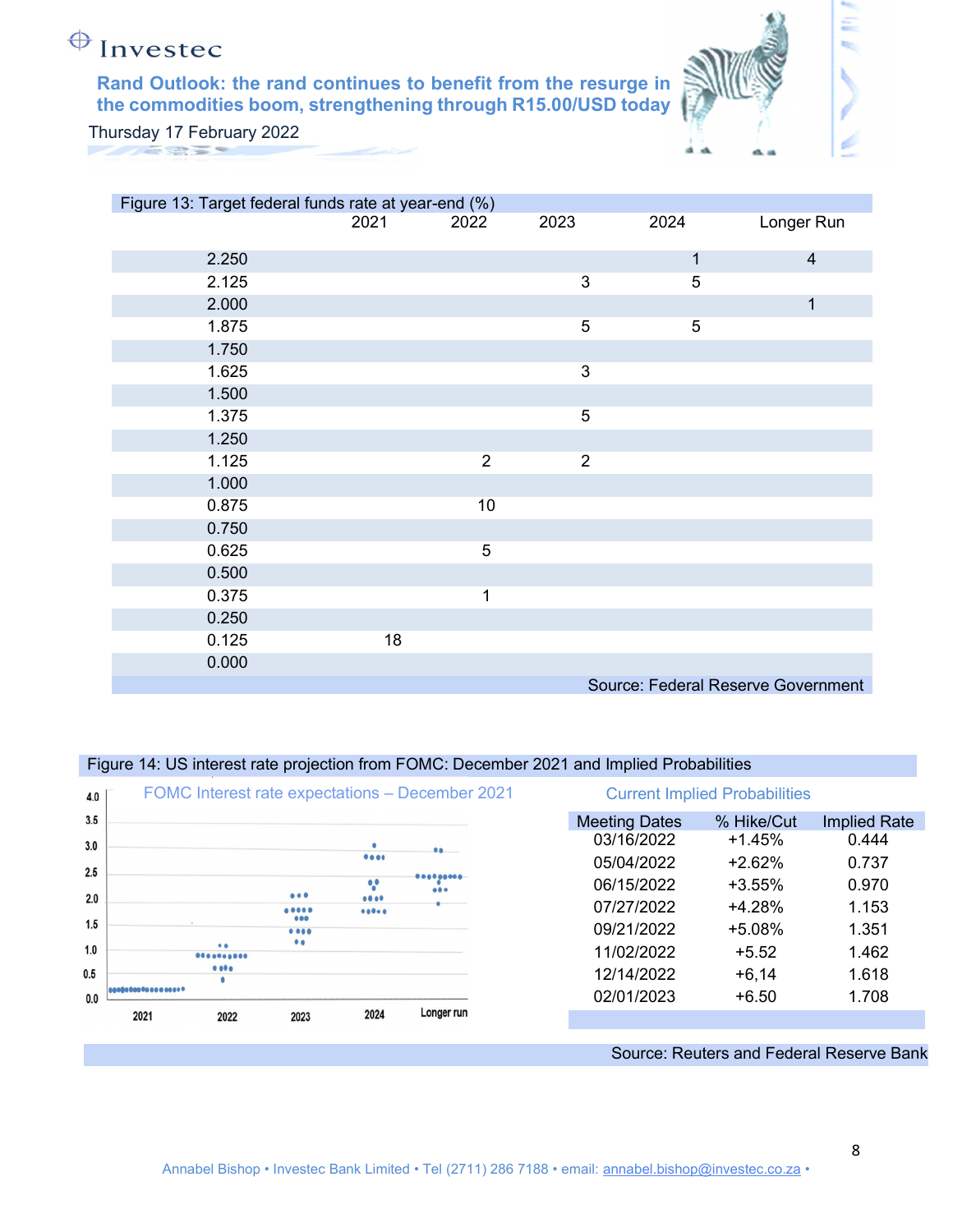

É

Thursday 17 February 2022

| Figure 13: Target federal funds rate at year-end (%) |      |                |                |              |                                    |
|------------------------------------------------------|------|----------------|----------------|--------------|------------------------------------|
|                                                      | 2021 | 2022           | 2023           | 2024         | Longer Run                         |
| 2.250                                                |      |                |                | $\mathbf{1}$ | $\overline{4}$                     |
|                                                      |      |                |                |              |                                    |
| 2.125                                                |      |                | 3              | 5            |                                    |
| 2.000                                                |      |                |                |              | $\mathbf 1$                        |
| 1.875                                                |      |                | 5              | 5            |                                    |
| 1.750                                                |      |                |                |              |                                    |
| 1.625                                                |      |                | $\mathbf{3}$   |              |                                    |
| 1.500                                                |      |                |                |              |                                    |
| 1.375                                                |      |                | 5              |              |                                    |
| 1.250                                                |      |                |                |              |                                    |
| 1.125                                                |      | $\overline{2}$ | $\overline{2}$ |              |                                    |
| 1.000                                                |      |                |                |              |                                    |
| 0.875                                                |      | 10             |                |              |                                    |
| 0.750                                                |      |                |                |              |                                    |
| 0.625                                                |      | 5              |                |              |                                    |
| 0.500                                                |      |                |                |              |                                    |
| 0.375                                                |      | $\mathbf{1}$   |                |              |                                    |
| 0.250                                                |      |                |                |              |                                    |
| 0.125                                                | 18   |                |                |              |                                    |
| 0.000                                                |      |                |                |              |                                    |
|                                                      |      |                |                |              | Source: Federal Reserve Government |

### Figure 14: US interest rate projection from FOMC: December 2021 and Implied Probabilities

| 4.0 |      |               |                                                                                  |               | FOMC Interest rate expectations - December 2021 |                      | <b>Current Implied Probabilities</b> |                                           |
|-----|------|---------------|----------------------------------------------------------------------------------|---------------|-------------------------------------------------|----------------------|--------------------------------------|-------------------------------------------|
| 3.5 |      |               |                                                                                  |               |                                                 | <b>Meeting Dates</b> | % Hike/Cut                           | <b>Implied Rate</b>                       |
| 3.0 |      |               |                                                                                  |               | $00 -$                                          | 03/16/2022           | $+1.45%$                             | 0.444                                     |
| 2.5 |      |               |                                                                                  | 0000          |                                                 | 05/04/2022           | $+2.62%$                             | 0.737                                     |
|     |      |               | 000                                                                              | $^{\circ}$    | 000000000<br>000                                | 06/15/2022           | $+3.55%$                             | 0.970                                     |
| 2.0 |      |               | $\begin{array}{ccc} \bullet & \bullet & \bullet & \bullet & \bullet \end{array}$ | 0000<br>00000 |                                                 | 07/27/2022           | $+4.28%$                             | 1.153                                     |
| 1.5 |      |               | 000<br>0.000                                                                     |               |                                                 | 09/21/2022           | $+5.08%$                             | 1.351                                     |
| 1.0 |      | $\bullet$<br> | $\bullet$                                                                        |               |                                                 | 11/02/2022           | $+5.52$                              | 1.462                                     |
| 0.5 |      | 0.000         |                                                                                  |               |                                                 | 12/14/2022           | $+6,14$                              | 1.618                                     |
| 0.0 |      |               |                                                                                  |               |                                                 | 02/01/2023           | $+6.50$                              | 1.708                                     |
|     | 2021 | 2022          | 2023                                                                             | 2024          | Longer run                                      |                      |                                      |                                           |
|     |      |               |                                                                                  |               |                                                 |                      |                                      | Course: Pouters and Eaderal Pessario Pank |

### Source: Reuters and Federal Reserve Bank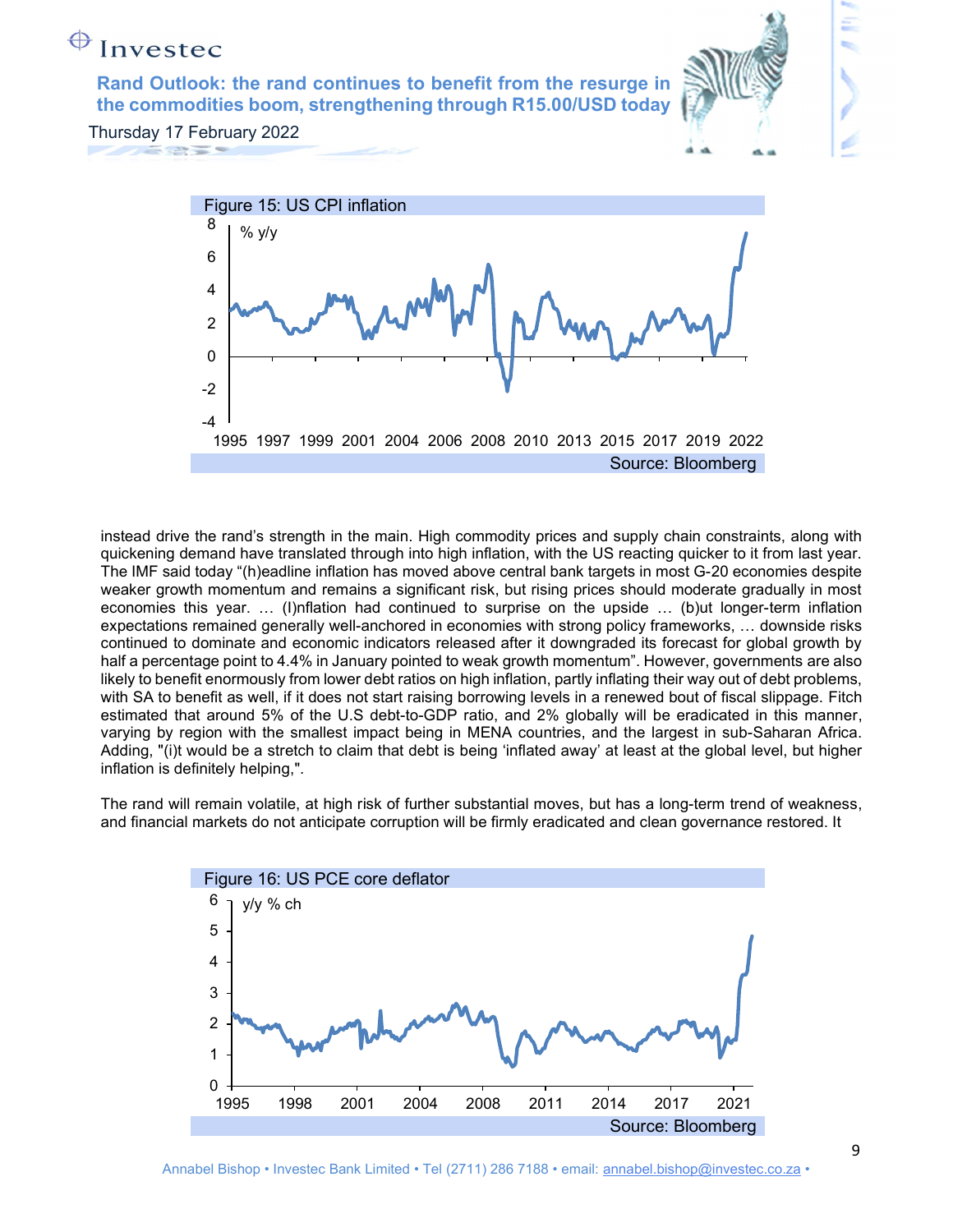

 $-4$   $-4$ 

 $-2$  |

0

instead drive the rand's strength in the main. High commodity prices and supply chain constraints, along with quickening demand have translated through into high inflation, with the US reacting quicker to it from last year. The IMF said today "(h)eadline inflation has moved above central bank targets in most G-20 economies despite weaker growth momentum and remains a significant risk, but rising prices should moderate gradually in most economies this year. … (I)nflation had continued to surprise on the upside … (b)ut longer-term inflation expectations remained generally well-anchored in economies with strong policy frameworks, … downside risks continued to dominate and economic indicators released after it downgraded its forecast for global growth by half a percentage point to 4.4% in January pointed to weak growth momentum". However, governments are also likely to benefit enormously from lower debt ratios on high inflation, partly inflating their way out of debt problems, with SA to benefit as well, if it does not start raising borrowing levels in a renewed bout of fiscal slippage. Fitch estimated that around 5% of the U.S debt-to-GDP ratio, and 2% globally will be eradicated in this manner, varying by region with the smallest impact being in MENA countries, and the largest in sub-Saharan Africa. Adding, "(i)t would be a stretch to claim that debt is being 'inflated away' at least at the global level, but higher inflation is definitely helping,".

Source: Bloomberg

The rand will remain volatile, at high risk of further substantial moves, but has a long-term trend of weakness, and financial markets do not anticipate corruption will be firmly eradicated and clean governance restored. It

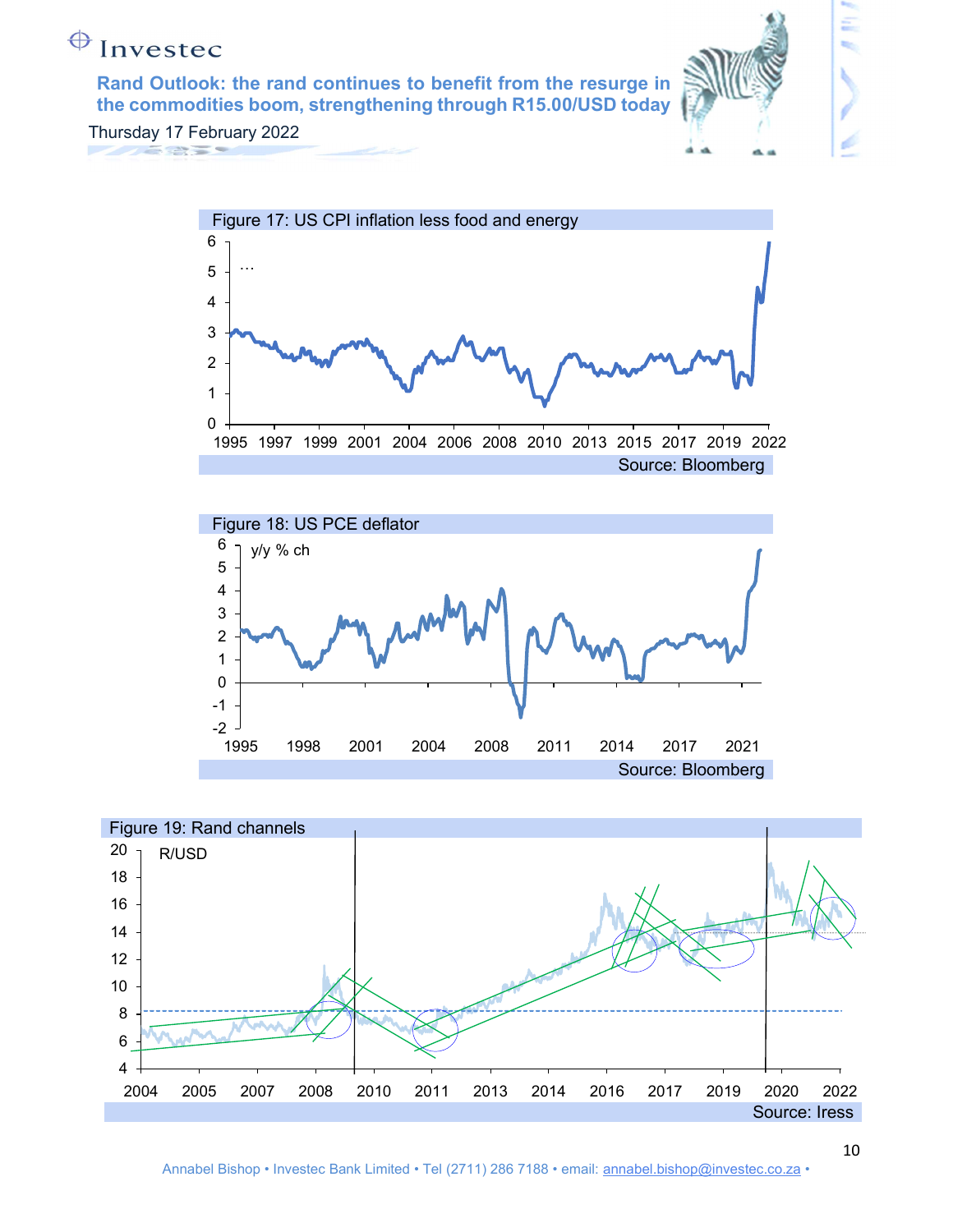

Ξ





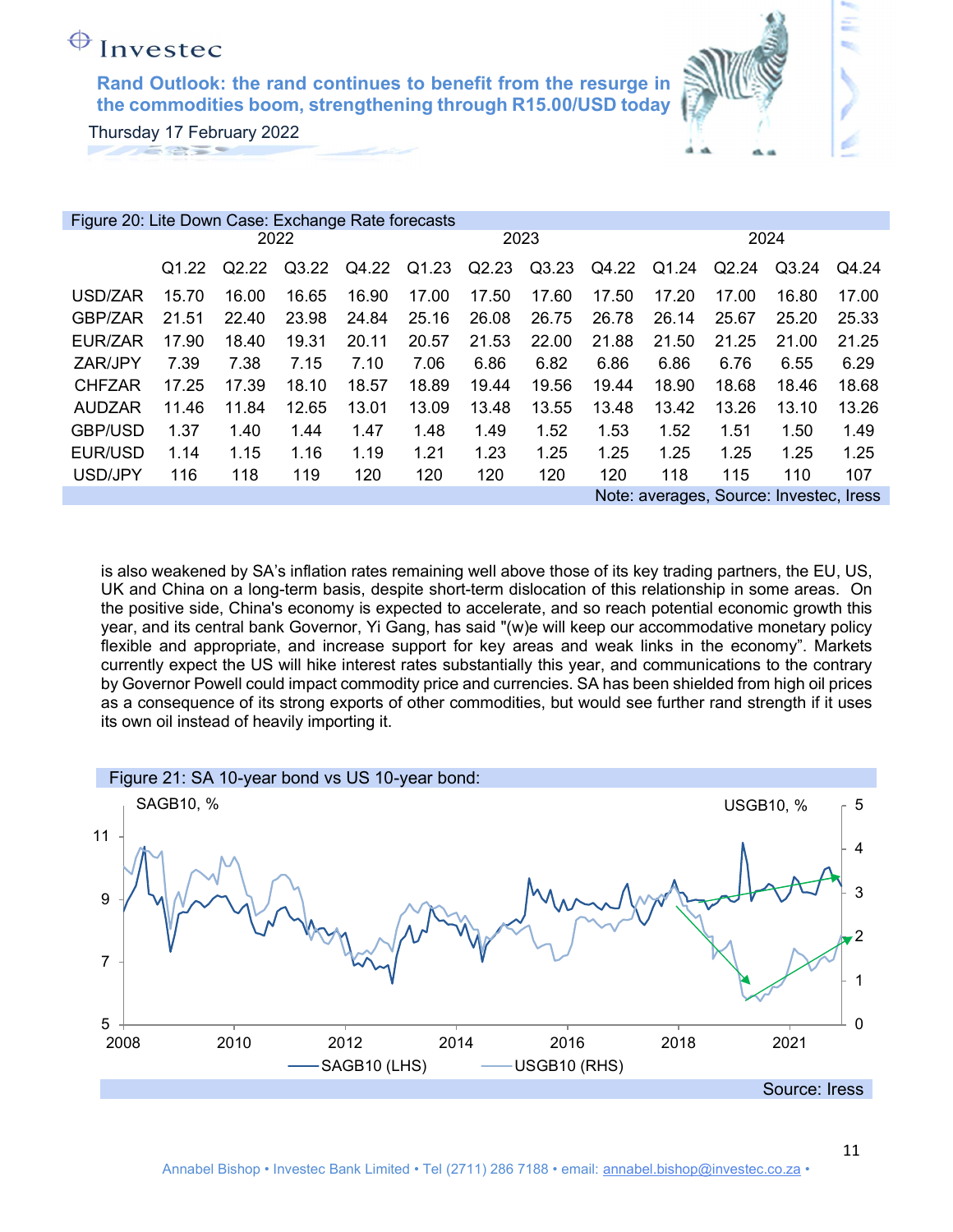Rand Outlook: the rand continues to benefit from the resurge in the commodities boom, strengthening through R15.00/USD today

Thursday 17 February 2022

| Figure 20: Lite Down Case: Exchange Rate forecasts |                   |       |       |       |       |       |       |       |       |       |                                         |       |
|----------------------------------------------------|-------------------|-------|-------|-------|-------|-------|-------|-------|-------|-------|-----------------------------------------|-------|
|                                                    |                   |       | 2022  |       |       | 2023  |       |       |       | 2024  |                                         |       |
|                                                    | Q <sub>1.22</sub> | Q2.22 | Q3.22 | Q4.22 | Q1.23 | Q2.23 | Q3.23 | Q4.22 | Q1.24 | Q2.24 | Q3.24                                   | Q4.24 |
| USD/ZAR                                            | 15.70             | 16.00 | 16.65 | 16.90 | 17.00 | 17.50 | 17.60 | 17.50 | 17.20 | 17.00 | 16.80                                   | 17.00 |
| GBP/ZAR                                            | 21.51             | 22.40 | 23.98 | 24.84 | 25.16 | 26.08 | 26.75 | 26.78 | 26.14 | 25.67 | 25.20                                   | 25.33 |
| EUR/ZAR                                            | 17.90             | 18.40 | 19.31 | 20.11 | 20.57 | 21.53 | 22.00 | 21.88 | 21.50 | 21.25 | 21.00                                   | 21.25 |
| ZAR/JPY                                            | 7.39              | 7.38  | 7.15  | 7.10  | 7.06  | 6.86  | 6.82  | 6.86  | 6.86  | 6.76  | 6.55                                    | 6.29  |
| <b>CHFZAR</b>                                      | 17.25             | 17.39 | 18.10 | 18.57 | 18.89 | 19.44 | 19.56 | 19.44 | 18.90 | 18.68 | 18.46                                   | 18.68 |
| <b>AUDZAR</b>                                      | 11.46             | 11.84 | 12.65 | 13.01 | 13.09 | 13.48 | 13.55 | 13.48 | 13.42 | 13.26 | 13.10                                   | 13.26 |
| <b>GBP/USD</b>                                     | 1.37              | 1.40  | 1.44  | 1.47  | 1.48  | 1.49  | 1.52  | 1.53  | 1.52  | 1.51  | 1.50                                    | 1.49  |
| EUR/USD                                            | 1.14              | 1.15  | 1.16  | 1.19  | 1.21  | 1.23  | 1.25  | 1.25  | 1.25  | 1.25  | 1.25                                    | 1.25  |
| USD/JPY                                            | 116               | 118   | 119   | 120   | 120   | 120   | 120   | 120   | 118   | 115   | 110                                     | 107   |
|                                                    |                   |       |       |       |       |       |       |       |       |       | Note: averages, Source: Investec, Iress |       |

is also weakened by SA's inflation rates remaining well above those of its key trading partners, the EU, US, UK and China on a long-term basis, despite short-term dislocation of this relationship in some areas. On the positive side, China's economy is expected to accelerate, and so reach potential economic growth this year, and its central bank Governor, Yi Gang, has said "(w)e will keep our accommodative monetary policy flexible and appropriate, and increase support for key areas and weak links in the economy". Markets currently expect the US will hike interest rates substantially this year, and communications to the contrary by Governor Powell could impact commodity price and currencies. SA has been shielded from high oil prices as a consequence of its strong exports of other commodities, but would see further rand strength if it uses its own oil instead of heavily importing it.

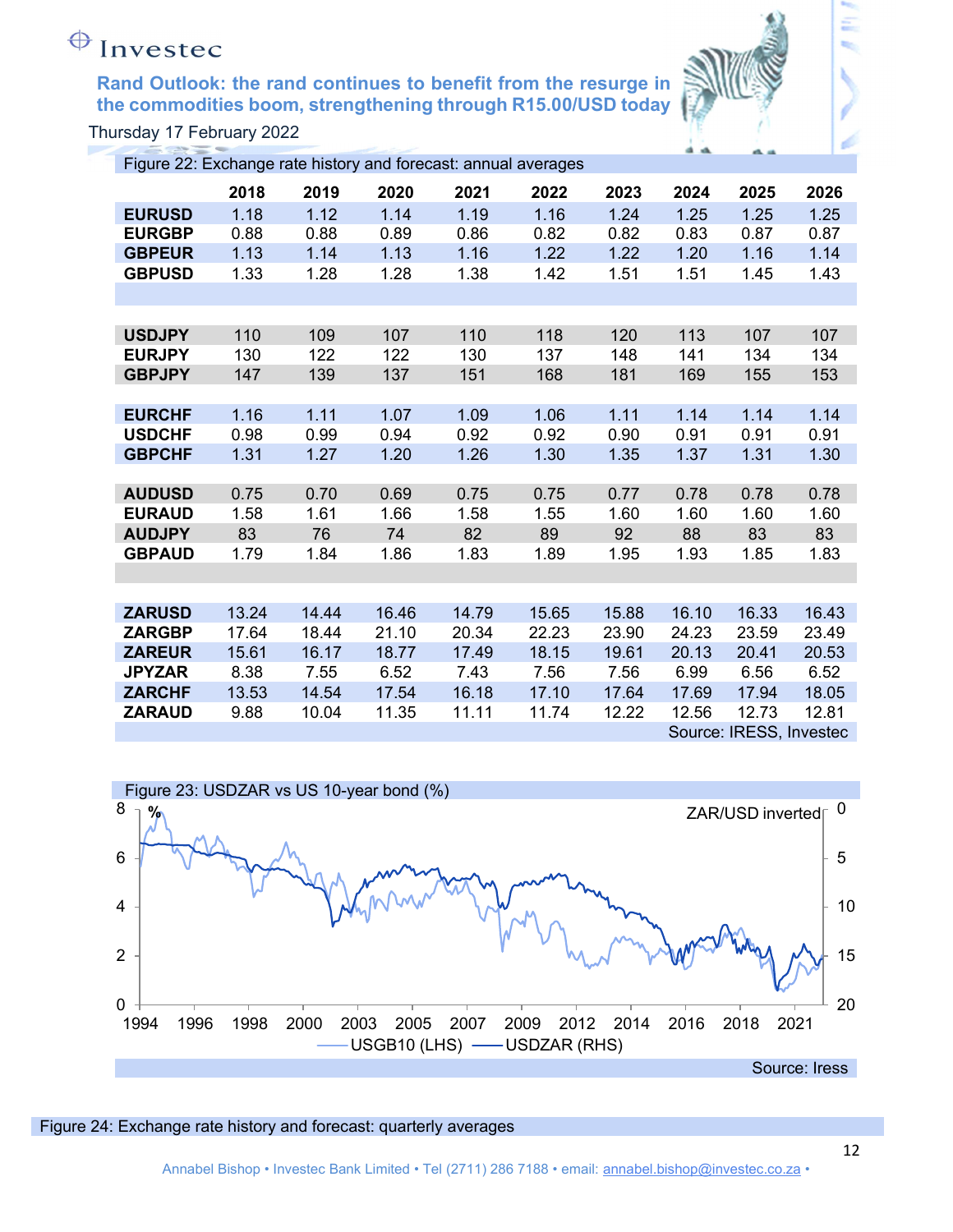

Thursday 17 February 2022

| Figure 22: Exchange rate history and forecast: annual averages |       |       |       |       |       |       |       |                         |       |
|----------------------------------------------------------------|-------|-------|-------|-------|-------|-------|-------|-------------------------|-------|
|                                                                | 2018  | 2019  | 2020  | 2021  | 2022  | 2023  | 2024  | 2025                    | 2026  |
| <b>EURUSD</b>                                                  | 1.18  | 1.12  | 1.14  | 1.19  | 1.16  | 1.24  | 1.25  | 1.25                    | 1.25  |
| <b>EURGBP</b>                                                  | 0.88  | 0.88  | 0.89  | 0.86  | 0.82  | 0.82  | 0.83  | 0.87                    | 0.87  |
| <b>GBPEUR</b>                                                  | 1.13  | 1.14  | 1.13  | 1.16  | 1.22  | 1.22  | 1.20  | 1.16                    | 1.14  |
| <b>GBPUSD</b>                                                  | 1.33  | 1.28  | 1.28  | 1.38  | 1.42  | 1.51  | 1.51  | 1.45                    | 1.43  |
|                                                                |       |       |       |       |       |       |       |                         |       |
|                                                                |       |       |       |       |       |       |       |                         |       |
| <b>USDJPY</b>                                                  | 110   | 109   | 107   | 110   | 118   | 120   | 113   | 107                     | 107   |
| <b>EURJPY</b>                                                  | 130   | 122   | 122   | 130   | 137   | 148   | 141   | 134                     | 134   |
| <b>GBPJPY</b>                                                  | 147   | 139   | 137   | 151   | 168   | 181   | 169   | 155                     | 153   |
|                                                                |       |       |       |       |       |       |       |                         |       |
| <b>EURCHF</b>                                                  | 1.16  | 1.11  | 1.07  | 1.09  | 1.06  | 1.11  | 1.14  | 1.14                    | 1.14  |
| <b>USDCHF</b>                                                  | 0.98  | 0.99  | 0.94  | 0.92  | 0.92  | 0.90  | 0.91  | 0.91                    | 0.91  |
| <b>GBPCHF</b>                                                  | 1.31  | 1.27  | 1.20  | 1.26  | 1.30  | 1.35  | 1.37  | 1.31                    | 1.30  |
|                                                                |       |       |       |       |       |       |       |                         |       |
| <b>AUDUSD</b>                                                  | 0.75  | 0.70  | 0.69  | 0.75  | 0.75  | 0.77  | 0.78  | 0.78                    | 0.78  |
| <b>EURAUD</b>                                                  | 1.58  | 1.61  | 1.66  | 1.58  | 1.55  | 1.60  | 1.60  | 1.60                    | 1.60  |
| <b>AUDJPY</b>                                                  | 83    | 76    | 74    | 82    | 89    | 92    | 88    | 83                      | 83    |
| <b>GBPAUD</b>                                                  | 1.79  | 1.84  | 1.86  | 1.83  | 1.89  | 1.95  | 1.93  | 1.85                    | 1.83  |
|                                                                |       |       |       |       |       |       |       |                         |       |
|                                                                |       |       |       |       |       |       |       |                         |       |
| <b>ZARUSD</b>                                                  | 13.24 | 14.44 | 16.46 | 14.79 | 15.65 | 15.88 | 16.10 | 16.33                   | 16.43 |
| <b>ZARGBP</b>                                                  | 17.64 | 18.44 | 21.10 | 20.34 | 22.23 | 23.90 | 24.23 | 23.59                   | 23.49 |
| <b>ZAREUR</b>                                                  | 15.61 | 16.17 | 18.77 | 17.49 | 18.15 | 19.61 | 20.13 | 20.41                   | 20.53 |
| <b>JPYZAR</b>                                                  | 8.38  | 7.55  | 6.52  | 7.43  | 7.56  | 7.56  | 6.99  | 6.56                    | 6.52  |
| <b>ZARCHF</b>                                                  | 13.53 | 14.54 | 17.54 | 16.18 | 17.10 | 17.64 | 17.69 | 17.94                   | 18.05 |
| <b>ZARAUD</b>                                                  | 9.88  | 10.04 | 11.35 | 11.11 | 11.74 | 12.22 | 12.56 | 12.73                   | 12.81 |
|                                                                |       |       |       |       |       |       |       | Source: IRESS, Investec |       |



### Figure 24: Exchange rate history and forecast: quarterly averages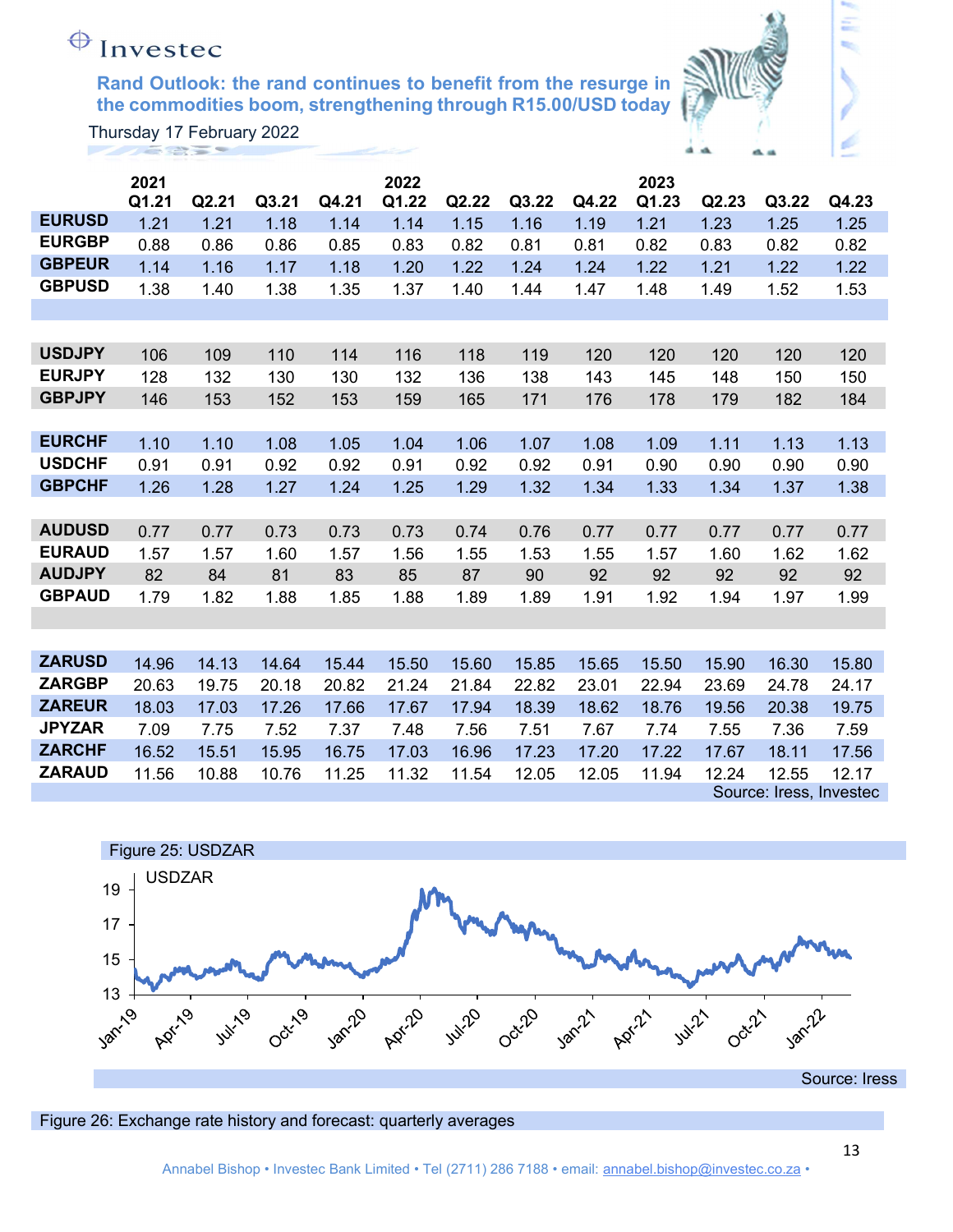

Ξ

|               | 2021  |       |       |       | 2022  |       |       |       | 2023  |       |                         |       |
|---------------|-------|-------|-------|-------|-------|-------|-------|-------|-------|-------|-------------------------|-------|
|               | Q1.21 | Q2.21 | Q3.21 | Q4.21 | Q1.22 | Q2.22 | Q3.22 | Q4.22 | Q1.23 | Q2.23 | Q3.22                   | Q4.23 |
| <b>EURUSD</b> | 1.21  | 1.21  | 1.18  | 1.14  | 1.14  | 1.15  | 1.16  | 1.19  | 1.21  | 1.23  | 1.25                    | 1.25  |
| <b>EURGBP</b> | 0.88  | 0.86  | 0.86  | 0.85  | 0.83  | 0.82  | 0.81  | 0.81  | 0.82  | 0.83  | 0.82                    | 0.82  |
| <b>GBPEUR</b> | 1.14  | 1.16  | 1.17  | 1.18  | 1.20  | 1.22  | 1.24  | 1.24  | 1.22  | 1.21  | 1.22                    | 1.22  |
| <b>GBPUSD</b> | 1.38  | 1.40  | 1.38  | 1.35  | 1.37  | 1.40  | 1.44  | 1.47  | 1.48  | 1.49  | 1.52                    | 1.53  |
|               |       |       |       |       |       |       |       |       |       |       |                         |       |
|               |       |       |       |       |       |       |       |       |       |       |                         |       |
| <b>USDJPY</b> | 106   | 109   | 110   | 114   | 116   | 118   | 119   | 120   | 120   | 120   | 120                     | 120   |
| <b>EURJPY</b> | 128   | 132   | 130   | 130   | 132   | 136   | 138   | 143   | 145   | 148   | 150                     | 150   |
| <b>GBPJPY</b> | 146   | 153   | 152   | 153   | 159   | 165   | 171   | 176   | 178   | 179   | 182                     | 184   |
|               |       |       |       |       |       |       |       |       |       |       |                         |       |
| <b>EURCHF</b> | 1.10  | 1.10  | 1.08  | 1.05  | 1.04  | 1.06  | 1.07  | 1.08  | 1.09  | 1.11  | 1.13                    | 1.13  |
| <b>USDCHF</b> | 0.91  | 0.91  | 0.92  | 0.92  | 0.91  | 0.92  | 0.92  | 0.91  | 0.90  | 0.90  | 0.90                    | 0.90  |
| <b>GBPCHF</b> | 1.26  | 1.28  | 1.27  | 1.24  | 1.25  | 1.29  | 1.32  | 1.34  | 1.33  | 1.34  | 1.37                    | 1.38  |
|               |       |       |       |       |       |       |       |       |       |       |                         |       |
| <b>AUDUSD</b> | 0.77  | 0.77  | 0.73  | 0.73  | 0.73  | 0.74  | 0.76  | 0.77  | 0.77  | 0.77  | 0.77                    | 0.77  |
| <b>EURAUD</b> | 1.57  | 1.57  | 1.60  | 1.57  | 1.56  | 1.55  | 1.53  | 1.55  | 1.57  | 1.60  | 1.62                    | 1.62  |
| <b>AUDJPY</b> | 82    | 84    | 81    | 83    | 85    | 87    | 90    | 92    | 92    | 92    | 92                      | 92    |
| <b>GBPAUD</b> | 1.79  | 1.82  | 1.88  | 1.85  | 1.88  | 1.89  | 1.89  | 1.91  | 1.92  | 1.94  | 1.97                    | 1.99  |
|               |       |       |       |       |       |       |       |       |       |       |                         |       |
|               |       |       |       |       |       |       |       |       |       |       |                         |       |
| <b>ZARUSD</b> | 14.96 | 14.13 | 14.64 | 15.44 | 15.50 | 15.60 | 15.85 | 15.65 | 15.50 | 15.90 | 16.30                   | 15.80 |
| <b>ZARGBP</b> | 20.63 | 19.75 | 20.18 | 20.82 | 21.24 | 21.84 | 22.82 | 23.01 | 22.94 | 23.69 | 24.78                   | 24.17 |
| <b>ZAREUR</b> | 18.03 | 17.03 | 17.26 | 17.66 | 17.67 | 17.94 | 18.39 | 18.62 | 18.76 | 19.56 | 20.38                   | 19.75 |
| <b>JPYZAR</b> | 7.09  | 7.75  | 7.52  | 7.37  | 7.48  | 7.56  | 7.51  | 7.67  | 7.74  | 7.55  | 7.36                    | 7.59  |
| <b>ZARCHF</b> | 16.52 | 15.51 | 15.95 | 16.75 | 17.03 | 16.96 | 17.23 | 17.20 | 17.22 | 17.67 | 18.11                   | 17.56 |
| <b>ZARAUD</b> | 11.56 | 10.88 | 10.76 | 11.25 | 11.32 | 11.54 | 12.05 | 12.05 | 11.94 | 12.24 | 12.55                   | 12.17 |
|               |       |       |       |       |       |       |       |       |       |       | Source: Iress, Investec |       |



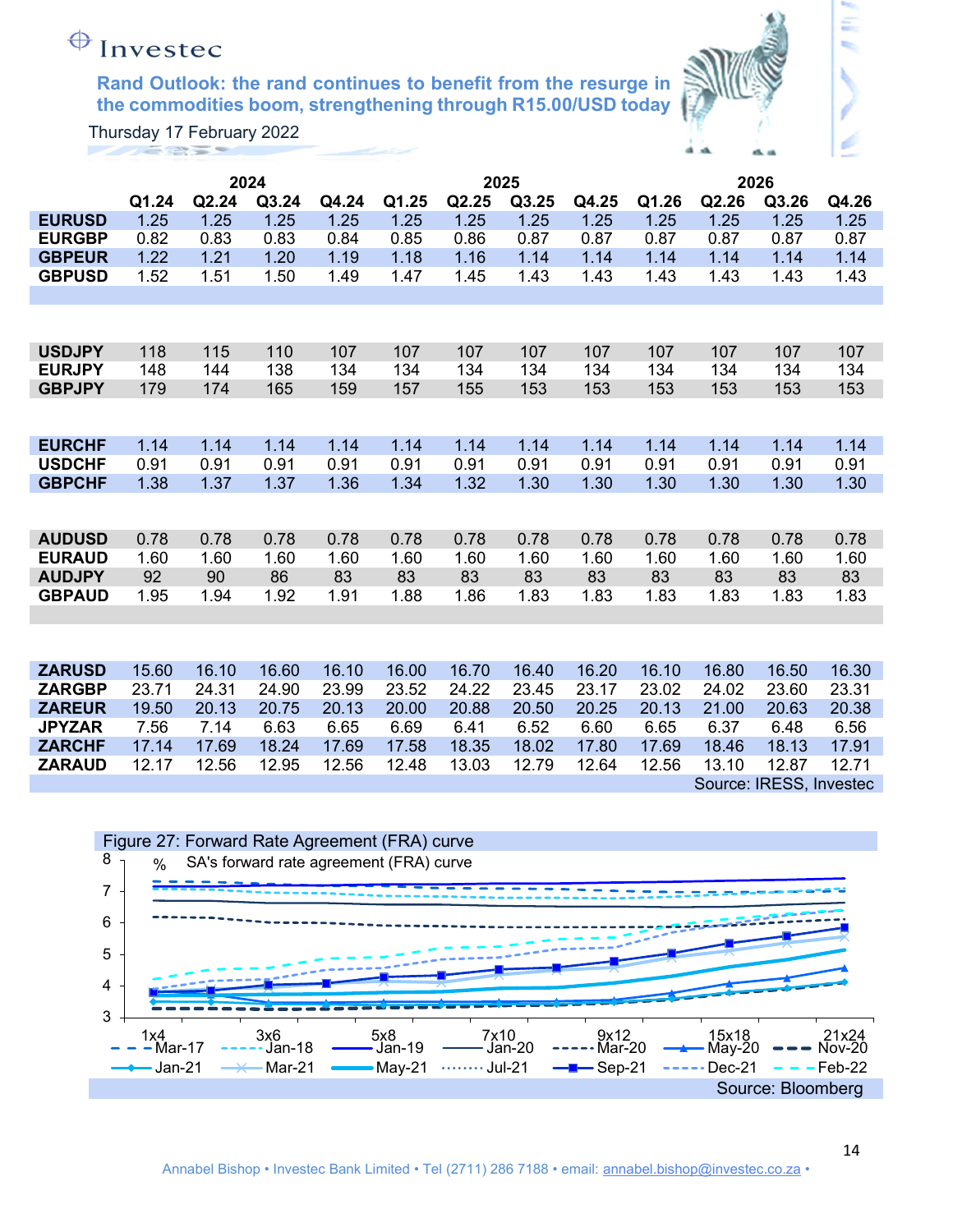

Ξ

|               |       |       | 2024  |       | 2025  |       |       |       | 2026  |       |                         |       |
|---------------|-------|-------|-------|-------|-------|-------|-------|-------|-------|-------|-------------------------|-------|
|               | Q1.24 | Q2.24 | Q3.24 | Q4.24 | Q1.25 | Q2.25 | Q3.25 | Q4.25 | Q1.26 | Q2.26 | Q3.26                   | Q4.26 |
| <b>EURUSD</b> | 1.25  | 1.25  | 1.25  | 1.25  | 1.25  | 1.25  | 1.25  | 1.25  | 1.25  | 1.25  | 1.25                    | 1.25  |
| <b>EURGBP</b> | 0.82  | 0.83  | 0.83  | 0.84  | 0.85  | 0.86  | 0.87  | 0.87  | 0.87  | 0.87  | 0.87                    | 0.87  |
| <b>GBPEUR</b> | 1.22  | 1.21  | 1.20  | 1.19  | 1.18  | 1.16  | 1.14  | 1.14  | 1.14  | 1.14  | 1.14                    | 1.14  |
| <b>GBPUSD</b> | 1.52  | 1.51  | 1.50  | 1.49  | 1.47  | 1.45  | 1.43  | 1.43  | 1.43  | 1.43  | 1.43                    | 1.43  |
|               |       |       |       |       |       |       |       |       |       |       |                         |       |
|               |       |       |       |       |       |       |       |       |       |       |                         |       |
| <b>USDJPY</b> | 118   | 115   | 110   | 107   | 107   | 107   | 107   | 107   | 107   | 107   | 107                     | 107   |
| <b>EURJPY</b> | 148   | 144   | 138   | 134   | 134   | 134   | 134   | 134   | 134   | 134   | 134                     | 134   |
| <b>GBPJPY</b> | 179   | 174   | 165   | 159   | 157   | 155   | 153   | 153   | 153   | 153   | 153                     | 153   |
|               |       |       |       |       |       |       |       |       |       |       |                         |       |
| <b>EURCHF</b> | 1.14  | 1.14  | 1.14  | 1.14  | 1.14  | 1.14  | 1.14  | 1.14  | 1.14  | 1.14  | 1.14                    | 1.14  |
| <b>USDCHF</b> | 0.91  | 0.91  | 0.91  | 0.91  | 0.91  | 0.91  | 0.91  | 0.91  | 0.91  | 0.91  | 0.91                    | 0.91  |
| <b>GBPCHF</b> | 1.38  | 1.37  | 1.37  | 1.36  | 1.34  | 1.32  | 1.30  | 1.30  | 1.30  | 1.30  | 1.30                    | 1.30  |
|               |       |       |       |       |       |       |       |       |       |       |                         |       |
| <b>AUDUSD</b> | 0.78  | 0.78  | 0.78  | 0.78  | 0.78  | 0.78  | 0.78  | 0.78  | 0.78  | 0.78  | 0.78                    | 0.78  |
| <b>EURAUD</b> | 1.60  | 1.60  | 1.60  | 1.60  | 1.60  | 1.60  | 1.60  | 1.60  | 1.60  | 1.60  | 1.60                    | 1.60  |
| <b>AUDJPY</b> | 92    | 90    | 86    | 83    | 83    | 83    | 83    | 83    | 83    | 83    | 83                      | 83    |
| <b>GBPAUD</b> | 1.95  | 1.94  | 1.92  | 1.91  | 1.88  | 1.86  | 1.83  | 1.83  | 1.83  | 1.83  | 1.83                    | 1.83  |
|               |       |       |       |       |       |       |       |       |       |       |                         |       |
|               |       |       |       |       |       |       |       |       |       |       |                         |       |
| <b>ZARUSD</b> | 15.60 | 16.10 | 16.60 | 16.10 | 16.00 | 16.70 | 16.40 | 16.20 | 16.10 | 16.80 | 16.50                   | 16.30 |
| <b>ZARGBP</b> | 23.71 | 24.31 | 24.90 | 23.99 | 23.52 | 24.22 | 23.45 | 23.17 | 23.02 | 24.02 | 23.60                   | 23.31 |
| <b>ZAREUR</b> | 19.50 | 20.13 | 20.75 | 20.13 | 20.00 | 20.88 | 20.50 | 20.25 | 20.13 | 21.00 | 20.63                   | 20.38 |
| <b>JPYZAR</b> | 7.56  | 7.14  | 6.63  | 6.65  | 6.69  | 6.41  | 6.52  | 6.60  | 6.65  | 6.37  | 6.48                    | 6.56  |
| <b>ZARCHF</b> | 17.14 | 17.69 | 18.24 | 17.69 | 17.58 | 18.35 | 18.02 | 17.80 | 17.69 | 18.46 | 18.13                   | 17.91 |
| <b>ZARAUD</b> | 12.17 | 12.56 | 12.95 | 12.56 | 12.48 | 13.03 | 12.79 | 12.64 | 12.56 | 13.10 | 12.87                   | 12.71 |
|               |       |       |       |       |       |       |       |       |       |       | Source: IRESS, Investec |       |

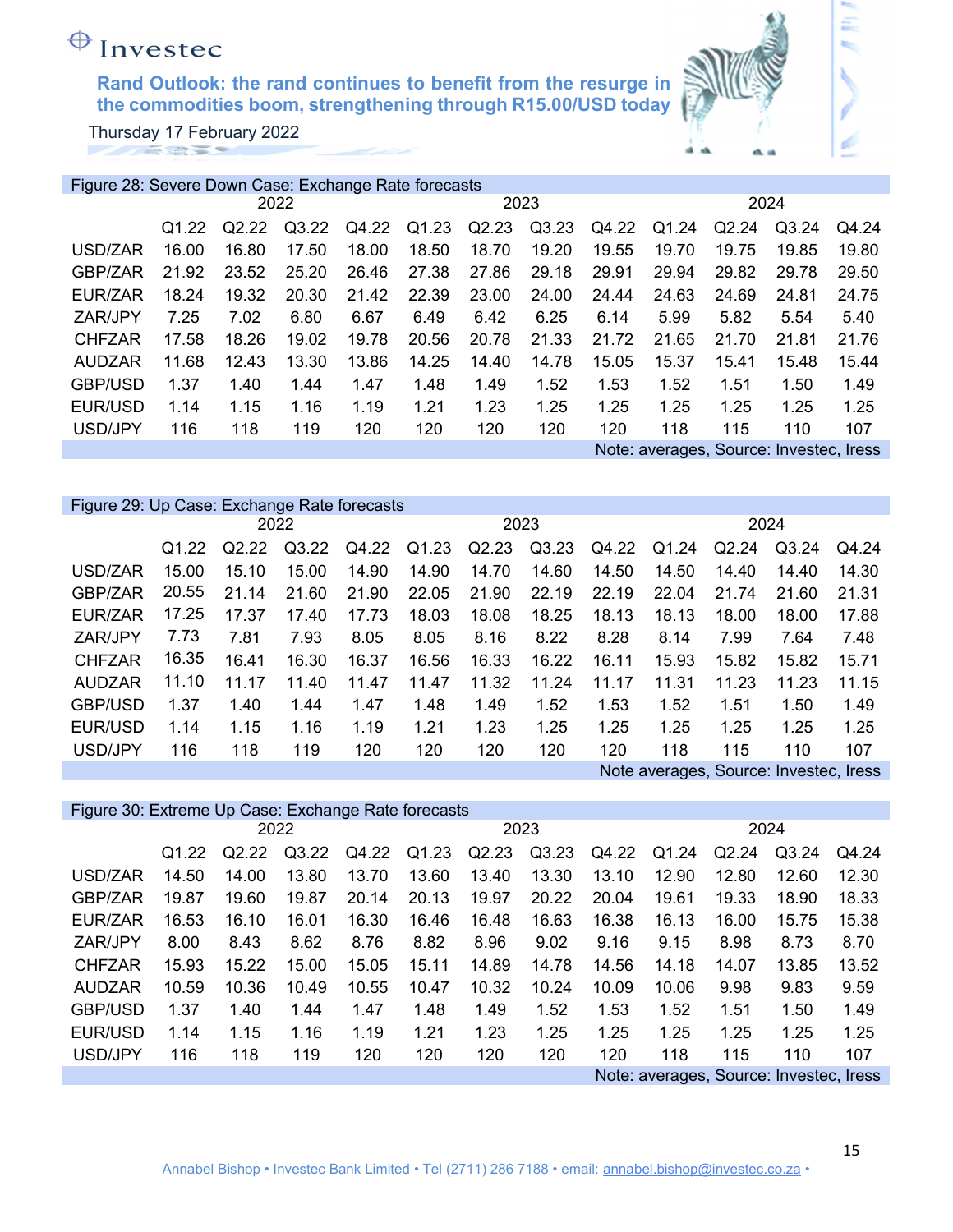Thursday 17 February 2022

|                | Figure 28: Severe Down Case: Exchange Rate forecasts |       |       |       |       |       |       |       |       |       |                                         |       |
|----------------|------------------------------------------------------|-------|-------|-------|-------|-------|-------|-------|-------|-------|-----------------------------------------|-------|
|                |                                                      |       | 2022  |       |       |       | 2023  |       |       | 2024  |                                         |       |
|                | Q <sub>1.22</sub>                                    | Q2.22 | Q3.22 | Q4.22 | Q1.23 | Q2.23 | Q3.23 | Q4.22 | Q1.24 | Q2.24 | Q3.24                                   | Q4.24 |
| USD/ZAR        | 16.00                                                | 16.80 | 17.50 | 18.00 | 18.50 | 18.70 | 19.20 | 19.55 | 19.70 | 19.75 | 19.85                                   | 19.80 |
| GBP/ZAR        | 21.92                                                | 23.52 | 25.20 | 26.46 | 27.38 | 27.86 | 29.18 | 29.91 | 29.94 | 29.82 | 29.78                                   | 29.50 |
| EUR/ZAR        | 18.24                                                | 19.32 | 20.30 | 21.42 | 22.39 | 23.00 | 24.00 | 24.44 | 24.63 | 24.69 | 24.81                                   | 24.75 |
| ZAR/JPY        | 7.25                                                 | 7.02  | 6.80  | 6.67  | 6.49  | 6.42  | 6.25  | 6.14  | 5.99  | 5.82  | 5.54                                    | 5.40  |
| <b>CHFZAR</b>  | 17.58                                                | 18.26 | 19.02 | 19.78 | 20.56 | 20.78 | 21.33 | 21.72 | 21.65 | 21.70 | 21.81                                   | 21.76 |
| <b>AUDZAR</b>  | 11.68                                                | 12.43 | 13.30 | 13.86 | 14.25 | 14.40 | 14.78 | 15.05 | 15.37 | 15.41 | 15.48                                   | 15.44 |
| <b>GBP/USD</b> | 1.37                                                 | 1.40  | 1.44  | 1.47  | 1.48  | 1.49  | 1.52  | 1.53  | 1.52  | 1.51  | 1.50                                    | 1.49  |
| EUR/USD        | 1.14                                                 | 1.15  | 1.16  | 1.19  | 1.21  | 1.23  | 1.25  | 1.25  | 1.25  | 1.25  | 1.25                                    | 1.25  |
| USD/JPY        | 116                                                  | 118   | 119   | 120   | 120   | 120   | 120   | 120   | 118   | 115   | 110                                     | 107   |
|                |                                                      |       |       |       |       |       |       |       |       |       | Note: averages, Source: Investec, Iress |       |

| Figure 29: Up Case: Exchange Rate forecasts |                                        |       |       |       |       |       |       |       |       |       |       |       |  |
|---------------------------------------------|----------------------------------------|-------|-------|-------|-------|-------|-------|-------|-------|-------|-------|-------|--|
|                                             |                                        |       | 2022  |       |       | 2023  |       |       | 2024  |       |       |       |  |
|                                             | Q <sub>1.22</sub>                      | Q2.22 | Q3.22 | Q4.22 | Q1.23 | Q2.23 | Q3.23 | Q4.22 | Q1.24 | Q2.24 | Q3.24 | Q4.24 |  |
| USD/ZAR                                     | 15.00                                  | 15.10 | 15.00 | 14.90 | 14.90 | 14.70 | 14.60 | 14.50 | 14.50 | 14.40 | 14.40 | 14.30 |  |
| GBP/ZAR                                     | 20.55                                  | 21.14 | 21.60 | 21.90 | 22.05 | 21.90 | 22.19 | 22.19 | 22.04 | 21.74 | 21.60 | 21.31 |  |
| EUR/ZAR                                     | 17.25                                  | 17.37 | 17.40 | 17.73 | 18.03 | 18.08 | 18.25 | 18.13 | 18.13 | 18.00 | 18.00 | 17.88 |  |
| ZAR/JPY                                     | 7.73                                   | 7.81  | 7.93  | 8.05  | 8.05  | 8.16  | 8.22  | 8.28  | 8.14  | 7.99  | 7.64  | 7.48  |  |
| <b>CHFZAR</b>                               | 16.35                                  | 16.41 | 16.30 | 16.37 | 16.56 | 16.33 | 16.22 | 16.11 | 15.93 | 15.82 | 15.82 | 15.71 |  |
| <b>AUDZAR</b>                               | 11.10                                  | 11.17 | 11.40 | 11.47 | 11.47 | 11.32 | 11.24 | 11.17 | 11.31 | 11.23 | 11.23 | 11.15 |  |
| GBP/USD                                     | 1.37                                   | 1.40  | 1.44  | 1.47  | 1.48  | 1.49  | 1.52  | 1.53  | 1.52  | 1.51  | 1.50  | 1.49  |  |
| EUR/USD                                     | 1.14                                   | 1.15  | 1.16  | 1.19  | 1.21  | 1.23  | 1.25  | 1.25  | 1.25  | 1.25  | 1.25  | 1.25  |  |
| USD/JPY                                     | 116                                    | 118   | 119   | 120   | 120   | 120   | 120   | 120   | 118   | 115   | 110   | 107   |  |
|                                             | Note averages, Source: Investec, Iress |       |       |       |       |       |       |       |       |       |       |       |  |

| Figure 30: Extreme Up Case: Exchange Rate forecasts |                   |       |       |       |       |       |       |       |       |       |       |       |  |
|-----------------------------------------------------|-------------------|-------|-------|-------|-------|-------|-------|-------|-------|-------|-------|-------|--|
|                                                     |                   |       | 2022  |       |       |       | 2023  |       | 2024  |       |       |       |  |
|                                                     | Q <sub>1.22</sub> | Q2.22 | Q3.22 | Q4.22 | Q1.23 | Q2.23 | Q3.23 | Q4.22 | Q1.24 | Q2.24 | Q3.24 | Q4.24 |  |
| USD/ZAR                                             | 14.50             | 14.00 | 13.80 | 13.70 | 13.60 | 13.40 | 13.30 | 13.10 | 12.90 | 12.80 | 12.60 | 12.30 |  |
| GBP/ZAR                                             | 19.87             | 19.60 | 19.87 | 20.14 | 20.13 | 19.97 | 20.22 | 20.04 | 19.61 | 19.33 | 18.90 | 18.33 |  |
| EUR/ZAR                                             | 16.53             | 16.10 | 16.01 | 16.30 | 16.46 | 16.48 | 16.63 | 16.38 | 16.13 | 16.00 | 15.75 | 15.38 |  |
| ZAR/JPY                                             | 8.00              | 8.43  | 8.62  | 8.76  | 8.82  | 8.96  | 9.02  | 9.16  | 9.15  | 8.98  | 8.73  | 8.70  |  |
| <b>CHFZAR</b>                                       | 15.93             | 15.22 | 15.00 | 15.05 | 15.11 | 14.89 | 14.78 | 14.56 | 14.18 | 14.07 | 13.85 | 13.52 |  |
| <b>AUDZAR</b>                                       | 10.59             | 10.36 | 10.49 | 10.55 | 10.47 | 10.32 | 10.24 | 10.09 | 10.06 | 9.98  | 9.83  | 9.59  |  |
| <b>GBP/USD</b>                                      | 1.37              | 1.40  | 1.44  | 1.47  | 1.48  | 1.49  | 1.52  | 1.53  | 1.52  | 1.51  | 1.50  | 1.49  |  |
| EUR/USD                                             | 1.14              | 1.15  | 1.16  | 1.19  | 1.21  | 1.23  | 1.25  | 1.25  | 1.25  | 1.25  | 1.25  | 1.25  |  |
| USD/JPY                                             | 116               | 118   | 119   | 120   | 120   | 120   | 120   | 120   | 118   | 115   | 110   | 107   |  |
| Note: averages, Source: Investec, Iress             |                   |       |       |       |       |       |       |       |       |       |       |       |  |

έ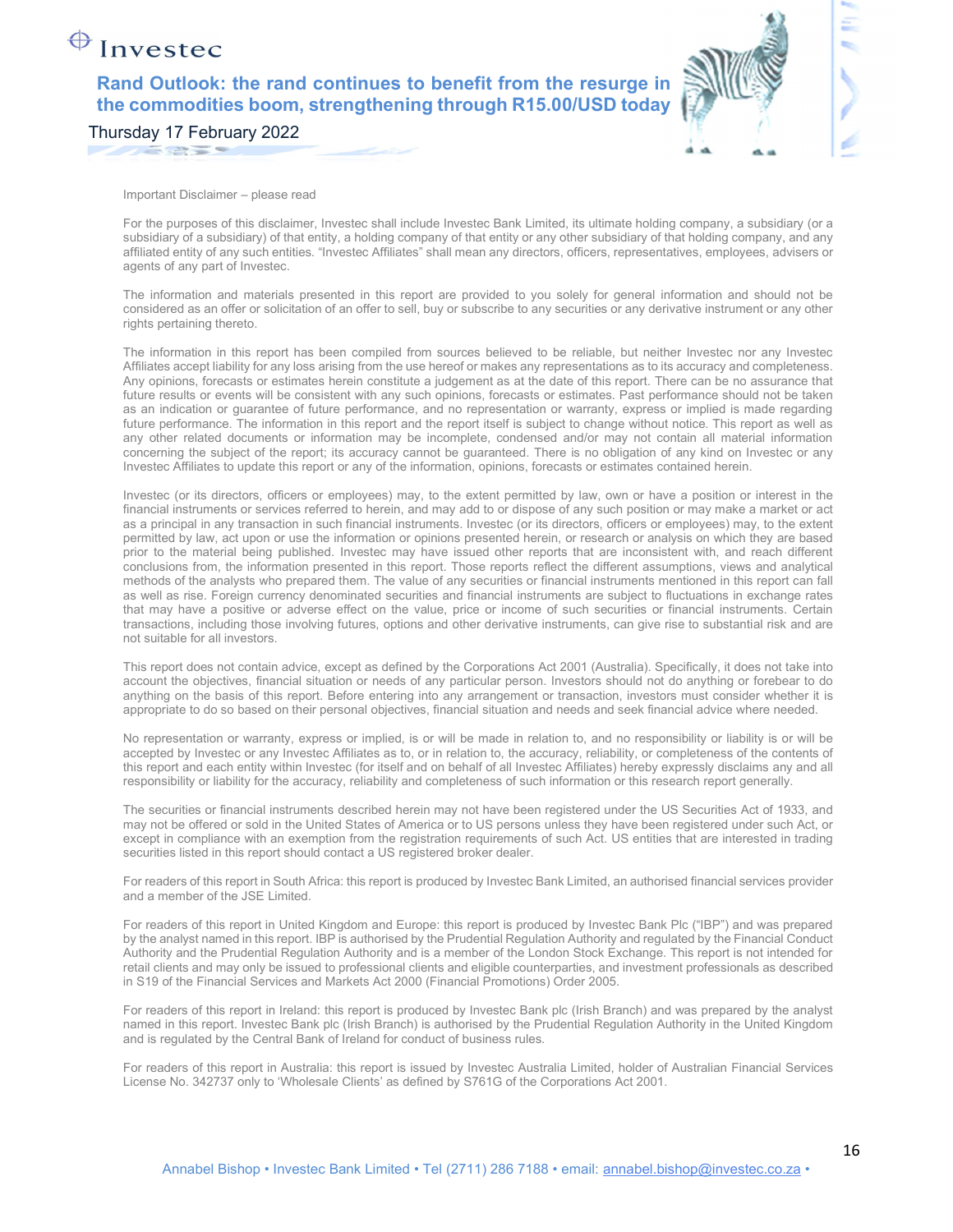### Investec

### Rand Outlook: the rand continues to benefit from the resurge in the commodities boom, strengthening through R15.00/USD today

Thursday 17 February 2022

Important Disclaimer – please read

For the purposes of this disclaimer, Investec shall include Investec Bank Limited, its ultimate holding company, a subsidiary (or a subsidiary of a subsidiary) of that entity, a holding company of that entity or any other subsidiary of that holding company, and any affiliated entity of any such entities. "Investec Affiliates" shall mean any directors, officers, representatives, employees, advisers or agents of any part of Investec.

The information and materials presented in this report are provided to you solely for general information and should not be considered as an offer or solicitation of an offer to sell, buy or subscribe to any securities or any derivative instrument or any other rights pertaining thereto.

The information in this report has been compiled from sources believed to be reliable, but neither Investec nor any Investec Affiliates accept liability for any loss arising from the use hereof or makes any representations as to its accuracy and completeness. Any opinions, forecasts or estimates herein constitute a judgement as at the date of this report. There can be no assurance that future results or events will be consistent with any such opinions, forecasts or estimates. Past performance should not be taken as an indication or guarantee of future performance, and no representation or warranty, express or implied is made regarding future performance. The information in this report and the report itself is subject to change without notice. This report as well as any other related documents or information may be incomplete, condensed and/or may not contain all material information concerning the subject of the report; its accuracy cannot be guaranteed. There is no obligation of any kind on Investec or any Investec Affiliates to update this report or any of the information, opinions, forecasts or estimates contained herein.

Investec (or its directors, officers or employees) may, to the extent permitted by law, own or have a position or interest in the financial instruments or services referred to herein, and may add to or dispose of any such position or may make a market or act as a principal in any transaction in such financial instruments. Investec (or its directors, officers or employees) may, to the extent permitted by law, act upon or use the information or opinions presented herein, or research or analysis on which they are based prior to the material being published. Investec may have issued other reports that are inconsistent with, and reach different conclusions from, the information presented in this report. Those reports reflect the different assumptions, views and analytical methods of the analysts who prepared them. The value of any securities or financial instruments mentioned in this report can fall as well as rise. Foreign currency denominated securities and financial instruments are subject to fluctuations in exchange rates that may have a positive or adverse effect on the value, price or income of such securities or financial instruments. Certain transactions, including those involving futures, options and other derivative instruments, can give rise to substantial risk and are not suitable for all investors.

This report does not contain advice, except as defined by the Corporations Act 2001 (Australia). Specifically, it does not take into account the objectives, financial situation or needs of any particular person. Investors should not do anything or forebear to do anything on the basis of this report. Before entering into any arrangement or transaction, investors must consider whether it is appropriate to do so based on their personal objectives, financial situation and needs and seek financial advice where needed.

No representation or warranty, express or implied, is or will be made in relation to, and no responsibility or liability is or will be accepted by Investec or any Investec Affiliates as to, or in relation to, the accuracy, reliability, or completeness of the contents of this report and each entity within Investec (for itself and on behalf of all Investec Affiliates) hereby expressly disclaims any and all responsibility or liability for the accuracy, reliability and completeness of such information or this research report generally.

The securities or financial instruments described herein may not have been registered under the US Securities Act of 1933, and may not be offered or sold in the United States of America or to US persons unless they have been registered under such Act, or except in compliance with an exemption from the registration requirements of such Act. US entities that are interested in trading securities listed in this report should contact a US registered broker dealer.

For readers of this report in South Africa: this report is produced by Investec Bank Limited, an authorised financial services provider and a member of the JSE Limited.

For readers of this report in United Kingdom and Europe: this report is produced by Investec Bank Plc ("IBP") and was prepared by the analyst named in this report. IBP is authorised by the Prudential Regulation Authority and regulated by the Financial Conduct Authority and the Prudential Regulation Authority and is a member of the London Stock Exchange. This report is not intended for retail clients and may only be issued to professional clients and eligible counterparties, and investment professionals as described in S19 of the Financial Services and Markets Act 2000 (Financial Promotions) Order 2005.

For readers of this report in Ireland: this report is produced by Investec Bank plc (Irish Branch) and was prepared by the analyst named in this report. Investec Bank plc (Irish Branch) is authorised by the Prudential Regulation Authority in the United Kingdom and is regulated by the Central Bank of Ireland for conduct of business rules.

For readers of this report in Australia: this report is issued by Investec Australia Limited, holder of Australian Financial Services License No. 342737 only to 'Wholesale Clients' as defined by S761G of the Corporations Act 2001.